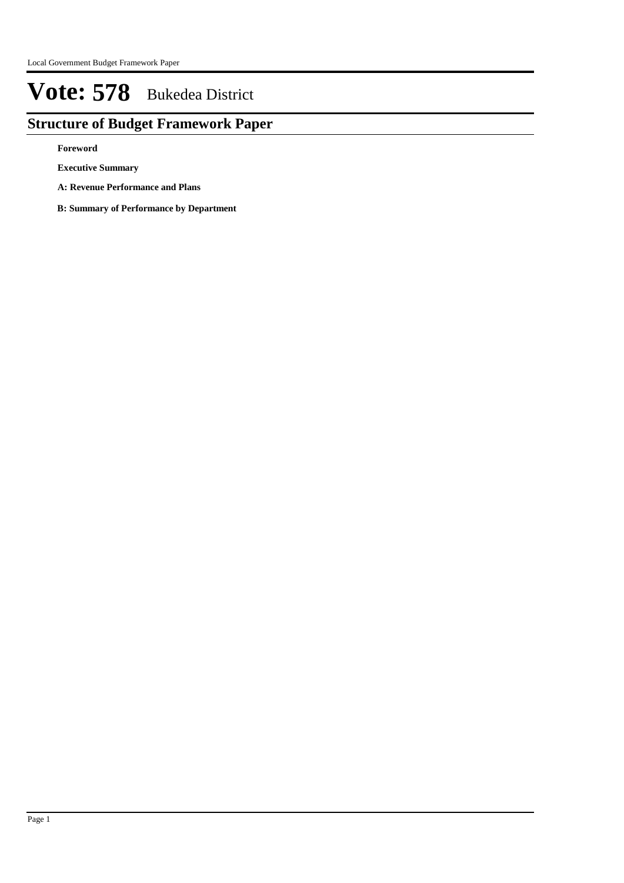## **Structure of Budget Framework Paper**

**Foreword**

**Executive Summary**

**A: Revenue Performance and Plans**

**B: Summary of Performance by Department**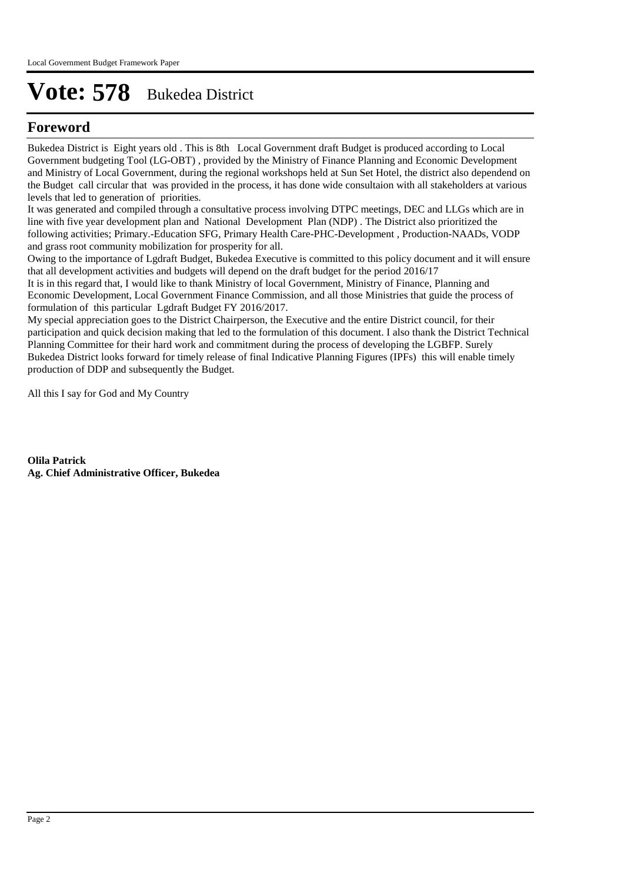### **Foreword**

Bukedea District is Eight years old . This is 8th Local Government draft Budget is produced according to Local Government budgeting Tool (LG-OBT) , provided by the Ministry of Finance Planning and Economic Development and Ministry of Local Government, during the regional workshops held at Sun Set Hotel, the district also dependend on the Budget call circular that was provided in the process, it has done wide consultaion with all stakeholders at various levels that led to generation of priorities.

It was generated and compiled through a consultative process involving DTPC meetings, DEC and LLGs which are in line with five year development plan and National Development Plan (NDP) . The District also prioritized the following activities; Primary.-Education SFG, Primary Health Care-PHC-Development , Production-NAADs, VODP and grass root community mobilization for prosperity for all.

Owing to the importance of Lgdraft Budget, Bukedea Executive is committed to this policy document and it will ensure that all development activities and budgets will depend on the draft budget for the period 2016/17

It is in this regard that, I would like to thank Ministry of local Government, Ministry of Finance, Planning and Economic Development, Local Government Finance Commission, and all those Ministries that guide the process of formulation of this particular Lgdraft Budget FY 2016/2017.

My special appreciation goes to the District Chairperson, the Executive and the entire District council, for their participation and quick decision making that led to the formulation of this document. I also thank the District Technical Planning Committee for their hard work and commitment during the process of developing the LGBFP. Surely Bukedea District looks forward for timely release of final Indicative Planning Figures (IPFs) this will enable timely production of DDP and subsequently the Budget.

All this I say for God and My Country

**Olila Patrick Ag. Chief Administrative Officer, Bukedea**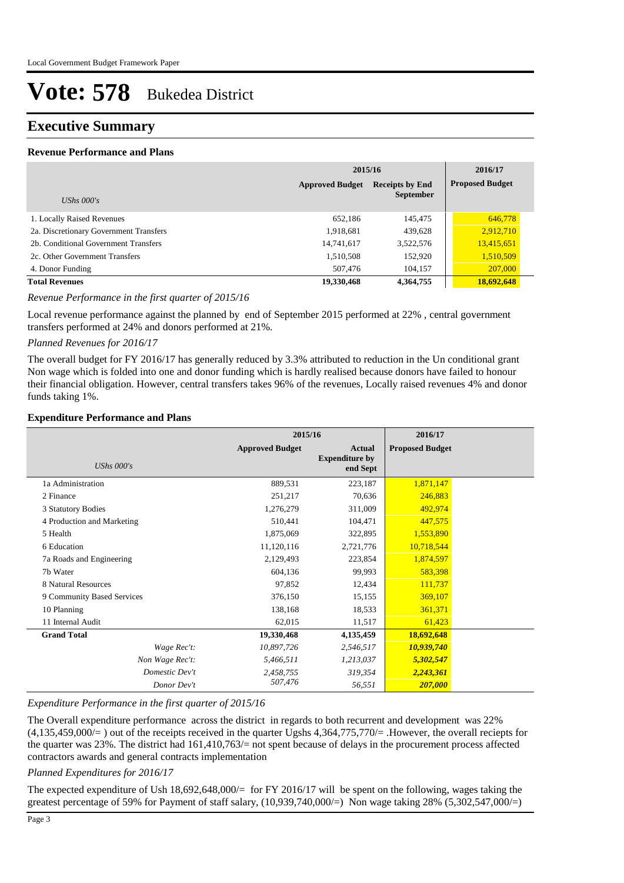### **Executive Summary**

#### **Revenue Performance and Plans**

|                                        | 2015/16                |                        |                        |
|----------------------------------------|------------------------|------------------------|------------------------|
|                                        | <b>Approved Budget</b> | <b>Receipts by End</b> | <b>Proposed Budget</b> |
| UShs $000's$                           |                        | <b>September</b>       |                        |
| 1. Locally Raised Revenues             | 652,186                | 145,475                | 646,778                |
| 2a. Discretionary Government Transfers | 1,918,681              | 439,628                | 2,912,710              |
| 2b. Conditional Government Transfers   | 14,741,617             | 3,522,576              | 13,415,651             |
| 2c. Other Government Transfers         | 1,510,508              | 152,920                | 1,510,509              |
| 4. Donor Funding                       | 507,476                | 104,157                | 207,000                |
| <b>Total Revenues</b>                  | 19,330,468             | 4,364,755              | 18,692,648             |

#### *Revenue Performance in the first quarter of 2015/16*

Local revenue performance against the planned by end of September 2015 performed at 22% , central government transfers performed at 24% and donors performed at 21%.

#### *Planned Revenues for 2016/17*

The overall budget for FY 2016/17 has generally reduced by 3.3% attributed to reduction in the Un conditional grant Non wage which is folded into one and donor funding which is hardly realised because donors have failed to honour their financial obligation. However, central transfers takes 96% of the revenues, Locally raised revenues 4% and donor funds taking 1%.

#### **Expenditure Performance and Plans**

|                            | 2015/16                |                                                    | 2016/17                |  |
|----------------------------|------------------------|----------------------------------------------------|------------------------|--|
| <b>UShs 000's</b>          | <b>Approved Budget</b> | <b>Actual</b><br><b>Expenditure by</b><br>end Sept | <b>Proposed Budget</b> |  |
| 1a Administration          | 889,531                | 223,187                                            | 1,871,147              |  |
| 2 Finance                  | 251,217                | 70,636                                             | 246,883                |  |
| 3 Statutory Bodies         | 1,276,279              | 311,009                                            | 492,974                |  |
| 4 Production and Marketing | 510,441                | 104,471                                            | 447,575                |  |
| 5 Health                   | 1,875,069              | 322,895                                            | 1,553,890              |  |
| 6 Education                | 11,120,116             | 2,721,776                                          | 10,718,544             |  |
| 7a Roads and Engineering   | 2,129,493              | 223,854                                            | 1,874,597              |  |
| 7b Water                   | 604,136                | 99,993                                             | 583,398                |  |
| 8 Natural Resources        | 97,852                 | 12,434                                             | 111,737                |  |
| 9 Community Based Services | 376,150                | 15,155                                             | 369,107                |  |
| 10 Planning                | 138,168                | 18,533                                             | 361,371                |  |
| 11 Internal Audit          | 62,015                 | 11,517                                             | 61,423                 |  |
| <b>Grand Total</b>         | 19,330,468             | 4,135,459                                          | 18,692,648             |  |
| Wage Rec't:                | 10,897,726             | 2,546,517                                          | 10,939,740             |  |
| Non Wage Rec't:            | 5,466,511              | 1,213,037                                          | 5,302,547              |  |
| Domestic Dev't             | 2,458,755              | 319,354                                            | 2,243,361              |  |
| Donor Dev't                | 507,476                | 56,551                                             | 207,000                |  |

#### *Expenditure Performance in the first quarter of 2015/16*

The Overall expenditure performance across the district in regards to both recurrent and development was 22%  $(4.135,459,000/=)$  out of the receipts received in the quarter Ugshs  $4.364,775,770/=$  . However, the overall reciepts for the quarter was 23%. The district had 161,410,763/= not spent because of delays in the procurement process affected contractors awards and general contracts implementation

*Planned Expenditures for 2016/17*

The expected expenditure of Ush 18,692,648,000/= for FY 2016/17 will be spent on the following, wages taking the greatest percentage of 59% for Payment of staff salary, (10,939,740,000/=) Non wage taking 28% (5,302,547,000/=)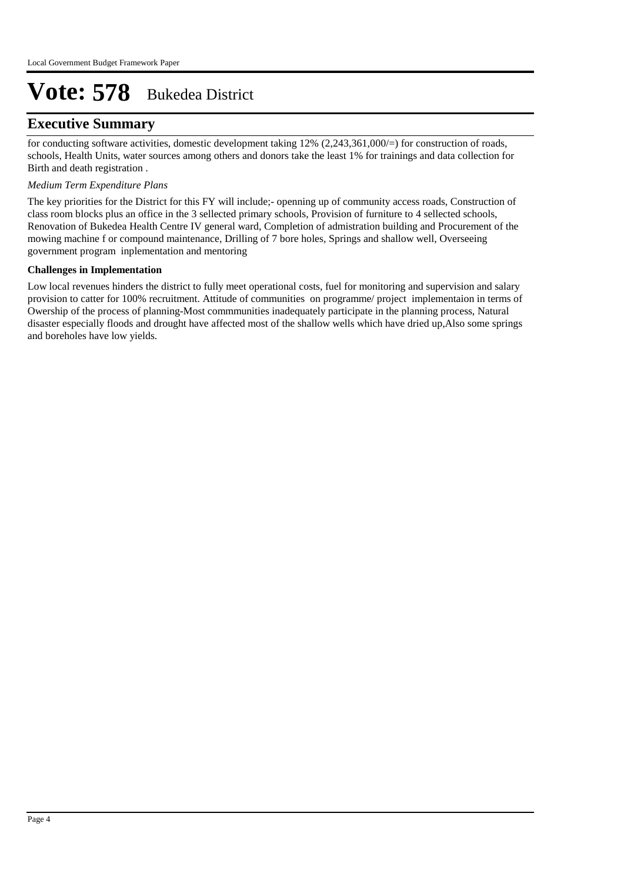### **Executive Summary**

for conducting software activities, domestic development taking 12% (2,243,361,000/=) for construction of roads, schools, Health Units, water sources among others and donors take the least 1% for trainings and data collection for Birth and death registration .

#### *Medium Term Expenditure Plans*

The key priorities for the District for this FY will include;- openning up of community access roads, Construction of class room blocks plus an office in the 3 sellected primary schools, Provision of furniture to 4 sellected schools, Renovation of Bukedea Health Centre IV general ward, Completion of admistration building and Procurement of the mowing machine f or compound maintenance, Drilling of 7 bore holes, Springs and shallow well, Overseeing government program inplementation and mentoring

#### **Challenges in Implementation**

Low local revenues hinders the district to fully meet operational costs, fuel for monitoring and supervision and salary provision to catter for 100% recruitment. Attitude of communities on programme/ project implementaion in terms of Owership of the process of planning-Most commmunities inadequately participate in the planning process, Natural disaster especially floods and drought have affected most of the shallow wells which have dried up,Also some springs and boreholes have low yields.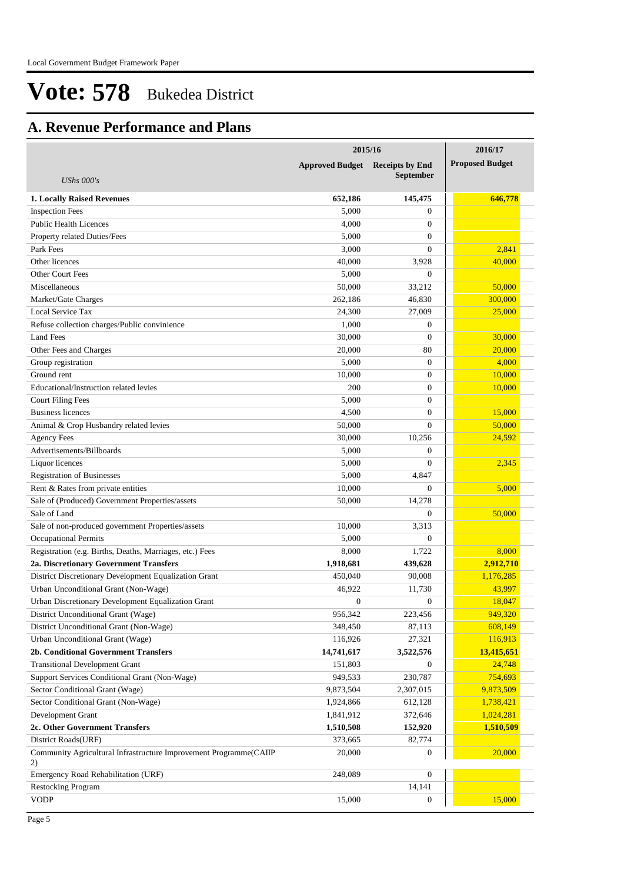## **A. Revenue Performance and Plans**

|                                                                         | 2015/16                | 2016/17                |                        |
|-------------------------------------------------------------------------|------------------------|------------------------|------------------------|
|                                                                         | <b>Approved Budget</b> | <b>Receipts by End</b> | <b>Proposed Budget</b> |
| UShs $000's$                                                            |                        | <b>September</b>       |                        |
|                                                                         |                        |                        |                        |
| <b>1. Locally Raised Revenues</b>                                       | 652,186                | 145,475<br>$\Omega$    | 646,778                |
| <b>Inspection Fees</b><br><b>Public Health Licences</b>                 | 5,000<br>4,000         | $\mathbf{0}$           |                        |
|                                                                         | 5,000                  | $\mathbf{0}$           |                        |
| Property related Duties/Fees                                            |                        | $\Omega$               |                        |
| Park Fees<br>Other licences                                             | 3,000                  |                        | 2,841                  |
|                                                                         | 40,000                 | 3,928                  | 40,000                 |
| <b>Other Court Fees</b>                                                 | 5,000                  | $\theta$               |                        |
| Miscellaneous                                                           | 50,000                 | 33,212                 | 50,000                 |
| Market/Gate Charges                                                     | 262,186                | 46,830                 | 300,000                |
| Local Service Tax                                                       | 24,300                 | 27,009                 | 25,000                 |
| Refuse collection charges/Public convinience                            | 1,000                  | $\theta$               |                        |
| Land Fees                                                               | 30,000                 | $\Omega$               | 30,000                 |
| Other Fees and Charges                                                  | 20,000                 | 80                     | 20,000                 |
| Group registration                                                      | 5,000                  | $\Omega$               | 4,000                  |
| Ground rent                                                             | 10.000                 | $\mathbf{0}$           | 10,000                 |
| Educational/Instruction related levies                                  | 200                    | $\mathbf{0}$           | 10,000                 |
| <b>Court Filing Fees</b>                                                | 5,000                  | $\mathbf{0}$           |                        |
| <b>Business licences</b>                                                | 4,500                  | $\mathbf{0}$           | 15,000                 |
| Animal & Crop Husbandry related levies                                  | 50,000                 | $\Omega$               | 50,000                 |
| <b>Agency Fees</b>                                                      | 30,000                 | 10,256                 | 24,592                 |
| Advertisements/Billboards                                               | 5,000                  | $\theta$               |                        |
| Liquor licences                                                         | 5,000                  | $\Omega$               | 2,345                  |
| <b>Registration of Businesses</b>                                       | 5,000                  | 4,847                  |                        |
| Rent & Rates from private entities                                      | 10,000                 | $\Omega$               | 5,000                  |
| Sale of (Produced) Government Properties/assets                         | 50,000                 | 14,278                 |                        |
| Sale of Land                                                            |                        | $\Omega$               | 50,000                 |
| Sale of non-produced government Properties/assets                       | 10,000                 | 3.313                  |                        |
| <b>Occupational Permits</b>                                             | 5,000                  | $\theta$               |                        |
| Registration (e.g. Births, Deaths, Marriages, etc.) Fees                | 8,000                  | 1,722                  | 8,000                  |
| 2a. Discretionary Government Transfers                                  | 1,918,681              | 439,628                | 2,912,710              |
| District Discretionary Development Equalization Grant                   | 450,040                | 90,008                 | 1,176,285              |
| Urban Unconditional Grant (Non-Wage)                                    | 46,922                 | 11,730                 | 43,997                 |
| Urban Discretionary Development Equalization Grant                      | $\theta$               | $\overline{0}$         | 18,047                 |
| District Unconditional Grant (Wage)                                     | 956,342                | 223,456                | 949,320                |
| District Unconditional Grant (Non-Wage)                                 | 348,450                | 87,113                 | 608,149                |
| Urban Unconditional Grant (Wage)                                        | 116,926                | 27,321                 | 116,913                |
| 2b. Conditional Government Transfers                                    | 14,741,617             | 3,522,576              | 13,415,651             |
| <b>Transitional Development Grant</b>                                   | 151,803                | $\boldsymbol{0}$       | 24,748                 |
| Support Services Conditional Grant (Non-Wage)                           | 949,533                | 230,787                | 754,693                |
| Sector Conditional Grant (Wage)                                         | 9,873,504              | 2,307,015              | 9,873,509              |
| Sector Conditional Grant (Non-Wage)                                     | 1,924,866              | 612,128                | 1,738,421              |
| Development Grant                                                       | 1,841,912              | 372,646                | 1,024,281              |
| 2c. Other Government Transfers                                          | 1,510,508              | 152,920                | 1,510,509              |
| District Roads(URF)                                                     | 373,665                | 82,774                 |                        |
| Community Agricultural Infrastructure Improvement Programme(CAIIP<br>2) | 20,000                 | $\boldsymbol{0}$       | 20,000                 |
| Emergency Road Rehabilitation (URF)                                     | 248,089                | $\overline{0}$         |                        |
| <b>Restocking Program</b>                                               |                        | 14,141                 |                        |
| <b>VODP</b>                                                             | 15,000                 | $\boldsymbol{0}$       | 15,000                 |
|                                                                         |                        |                        |                        |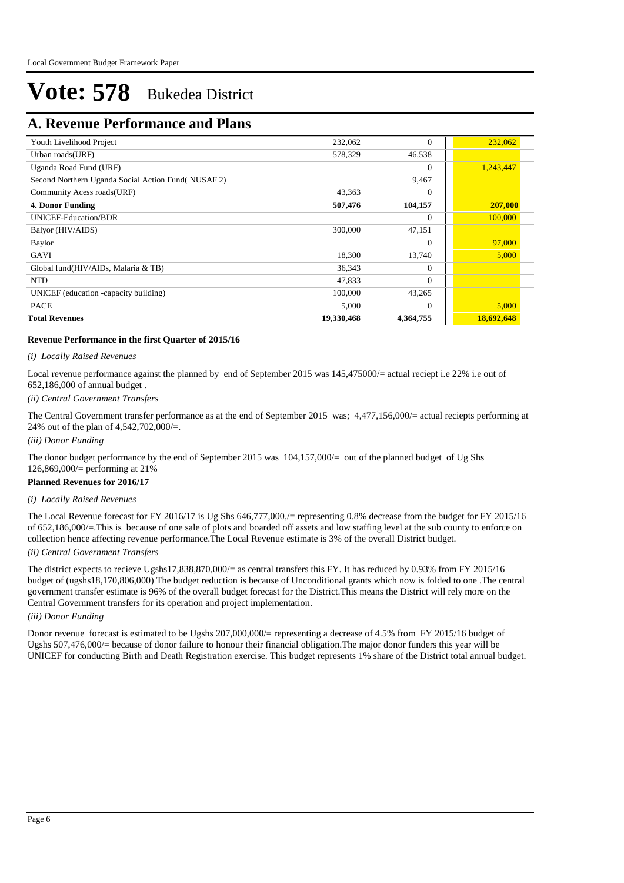### **A. Revenue Performance and Plans**

| <b>Total Revenues</b>                             | 19,330,468 | 4,364,755 | 18,692,648 |           |  |
|---------------------------------------------------|------------|-----------|------------|-----------|--|
| <b>PACE</b>                                       | 5,000      | $\Omega$  |            | 5,000     |  |
| UNICEF (education -capacity building)             | 100,000    | 43,265    |            |           |  |
| <b>NTD</b>                                        | 47,833     | $\Omega$  |            |           |  |
| Global fund(HIV/AIDs, Malaria & TB)               | 36,343     | $\Omega$  |            |           |  |
| GAVI                                              | 18,300     | 13,740    |            | 5,000     |  |
| Baylor                                            |            | $\Omega$  |            | 97,000    |  |
| Balyor (HIV/AIDS)                                 | 300,000    | 47,151    |            |           |  |
| <b>UNICEF-Education/BDR</b>                       |            | $\theta$  |            | 100,000   |  |
| <b>4. Donor Funding</b>                           | 507,476    | 104,157   |            | 207,000   |  |
| Community Acess roads(URF)                        | 43,363     | $\Omega$  |            |           |  |
| Second Northern Uganda Social Action Fund(NUSAF2) |            | 9,467     |            |           |  |
| Uganda Road Fund (URF)                            |            | $\Omega$  |            | 1,243,447 |  |
| Urban roads(URF)                                  | 578,329    | 46,538    |            |           |  |
| Youth Livelihood Project                          | 232,062    | $\Omega$  |            | 232,062   |  |

#### **Revenue Performance in the first Quarter of 2015/16**

#### *(i) Locally Raised Revenues*

Local revenue performance against the planned by end of September 2015 was 145,475000/= actual reciept i.e 22% i.e out of 652,186,000 of annual budget .

#### *(ii) Central Government Transfers*

The Central Government transfer performance as at the end of September 2015 was; 4,477,156,000/= actual reciepts performing at 24% out of the plan of 4,542,702,000/=.

*(iii) Donor Funding*

The donor budget performance by the end of September 2015 was  $104,157,000/=$  out of the planned budget of Ug Shs 126,869,000/= performing at 21%

#### **Planned Revenues for 2016/17**

#### *(i) Locally Raised Revenues*

The Local Revenue forecast for FY 2016/17 is Ug Shs 646,777,000,/= representing 0.8% decrease from the budget for FY 2015/16 of 652,186,000/=.This is because of one sale of plots and boarded off assets and low staffing level at the sub county to enforce on collection hence affecting revenue performance.The Local Revenue estimate is 3% of the overall District budget.

#### *(ii) Central Government Transfers*

The district expects to recieve Ugshs17,838,870,000/= as central transfers this FY. It has reduced by 0.93% from FY 2015/16 budget of (ugshs18,170,806,000) The budget reduction is because of Unconditional grants which now is folded to one .The central government transfer estimate is 96% of the overall budget forecast for the District.This means the District will rely more on the Central Government transfers for its operation and project implementation.

#### *(iii) Donor Funding*

Donor revenue forecast is estimated to be Ugshs 207,000,000/= representing a decrease of 4.5% from FY 2015/16 budget of Ugshs 507,476,000/= because of donor failure to honour their financial obligation.The major donor funders this year will be UNICEF for conducting Birth and Death Registration exercise. This budget represents 1% share of the District total annual budget.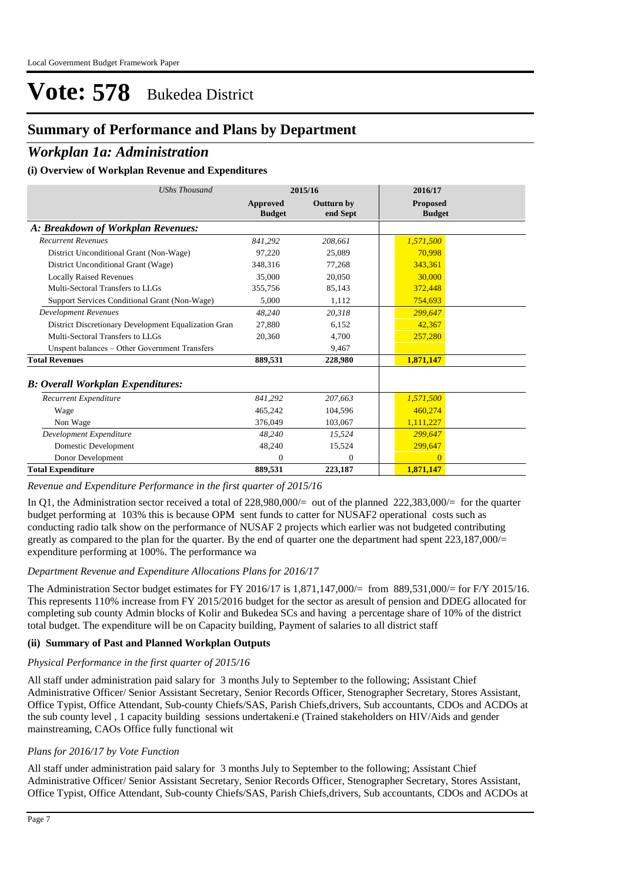### **Summary of Performance and Plans by Department**

### *Workplan 1a: Administration*

#### **(i) Overview of Workplan Revenue and Expenditures**

| <b>UShs Thousand</b>                                 |                                  | 2015/16                       | 2016/17                          |
|------------------------------------------------------|----------------------------------|-------------------------------|----------------------------------|
|                                                      | <b>Approved</b><br><b>Budget</b> | <b>Outturn by</b><br>end Sept | <b>Proposed</b><br><b>Budget</b> |
| A: Breakdown of Workplan Revenues:                   |                                  |                               |                                  |
| <b>Recurrent Revenues</b>                            | 841.292                          | 208,661                       | 1,571,500                        |
| District Unconditional Grant (Non-Wage)              | 97,220                           | 25,089                        | 70,998                           |
| District Unconditional Grant (Wage)                  | 348,316                          | 77,268                        | 343.361                          |
| <b>Locally Raised Revenues</b>                       | 35,000                           | 20,050                        | 30,000                           |
| Multi-Sectoral Transfers to LLGs                     | 355,756                          | 85,143                        | 372,448                          |
| Support Services Conditional Grant (Non-Wage)        | 5.000                            | 1,112                         | 754,693                          |
| <b>Development Revenues</b>                          | 48.240                           | 20,318                        | 299,647                          |
| District Discretionary Development Equalization Gran | 27,880                           | 6.152                         | 42,367                           |
| Multi-Sectoral Transfers to LLGs                     | 20,360                           | 4,700                         | 257,280                          |
| Unspent balances - Other Government Transfers        |                                  | 9,467                         |                                  |
| <b>Total Revenues</b>                                | 889,531                          | 228,980                       | 1,871,147                        |
| <b>B: Overall Workplan Expenditures:</b>             |                                  |                               |                                  |
| Recurrent Expenditure                                | 841,292                          | 207,663                       | 1,571,500                        |
| Wage                                                 | 465.242                          | 104,596                       | 460,274                          |
| Non Wage                                             | 376,049                          | 103,067                       | 1,111,227                        |
| Development Expenditure                              | 48.240                           | 15,524                        | 299.647                          |
| Domestic Development                                 | 48,240                           | 15,524                        | 299,647                          |
| Donor Development                                    | 0                                | $\mathbf{0}$                  | $\Omega$                         |
| <b>Total Expenditure</b>                             | 889,531                          | 223,187                       | 1,871,147                        |

*Revenue and Expenditure Performance in the first quarter of 2015/16*

In Q1, the Administration sector received a total of 228,980,000/= out of the planned 222,383,000/= for the quarter budget performing at 103% this is because OPM sent funds to catter for NUSAF2 operational costs such as conducting radio talk show on the performance of NUSAF 2 projects which earlier was not budgeted contributing greatly as compared to the plan for the quarter. By the end of quarter one the department had spent 223,187,000/= expenditure performing at 100%. The performance wa

#### *Department Revenue and Expenditure Allocations Plans for 2016/17*

The Administration Sector budget estimates for FY 2016/17 is 1,871,147,000/= from 889,531,000/= for F/Y 2015/16. This represents 110% increase from FY 2015/2016 budget for the sector as aresult of pension and DDEG allocated for completing sub county Admin blocks of Kolir and Bukedea SCs and having a percentage share of 10% of the district total budget. The expenditure will be on Capacity building, Payment of salaries to all district staff

#### **(ii) Summary of Past and Planned Workplan Outputs**

#### *Physical Performance in the first quarter of 2015/16*

All staff under administration paid salary for 3 months July to September to the following; Assistant Chief Administrative Officer/ Senior Assistant Secretary, Senior Records Officer, Stenographer Secretary, Stores Assistant, Office Typist, Office Attendant, Sub-county Chiefs/SAS, Parish Chiefs,drivers, Sub accountants, CDOs and ACDOs at the sub county level , 1 capacity building sessions undertakeni.e (Trained stakeholders on HIV/Aids and gender mainstreaming, CAOs Office fully functional wit

#### *Plans for 2016/17 by Vote Function*

All staff under administration paid salary for 3 months July to September to the following; Assistant Chief Administrative Officer/ Senior Assistant Secretary, Senior Records Officer, Stenographer Secretary, Stores Assistant, Office Typist, Office Attendant, Sub-county Chiefs/SAS, Parish Chiefs,drivers, Sub accountants, CDOs and ACDOs at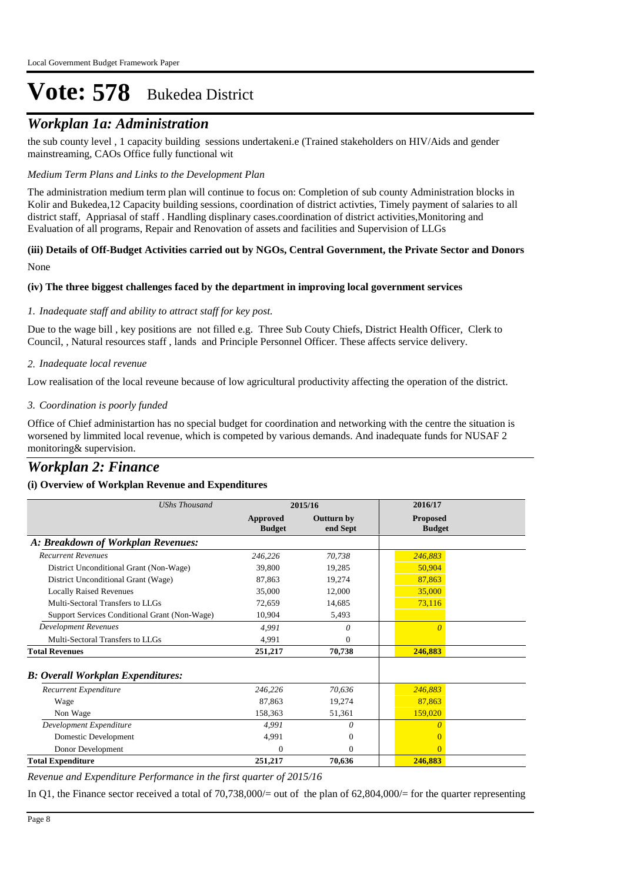### *Workplan 1a: Administration*

the sub county level , 1 capacity building sessions undertakeni.e (Trained stakeholders on HIV/Aids and gender mainstreaming, CAOs Office fully functional wit

#### *Medium Term Plans and Links to the Development Plan*

The administration medium term plan will continue to focus on: Completion of sub county Administration blocks in Kolir and Bukedea,12 Capacity building sessions, coordination of district activties, Timely payment of salaries to all district staff, Appriasal of staff . Handling displinary cases.coordination of district activities,Monitoring and Evaluation of all programs, Repair and Renovation of assets and facilities and Supervision of LLGs

#### None **(iii) Details of Off-Budget Activities carried out by NGOs, Central Government, the Private Sector and Donors**

#### **(iv) The three biggest challenges faced by the department in improving local government services**

#### *Inadequate staff and ability to attract staff for key post. 1.*

Due to the wage bill , key positions are not filled e.g. Three Sub Couty Chiefs, District Health Officer, Clerk to Council, , Natural resources staff , lands and Principle Personnel Officer. These affects service delivery.

*Inadequate local revenue 2.*

Low realisation of the local reveune because of low agricultural productivity affecting the operation of the district.

#### *Coordination is poorly funded 3.*

Office of Chief administartion has no special budget for coordination and networking with the centre the situation is worsened by limmited local revenue, which is competed by various demands. And inadequate funds for NUSAF 2 monitoring& supervision.

### *Workplan 2: Finance*

#### **(i) Overview of Workplan Revenue and Expenditures**

| <b>UShs Thousand</b>                          |                           | 2015/16                       | 2016/17                          |
|-----------------------------------------------|---------------------------|-------------------------------|----------------------------------|
|                                               | Approved<br><b>Budget</b> | <b>Outturn by</b><br>end Sept | <b>Proposed</b><br><b>Budget</b> |
| A: Breakdown of Workplan Revenues:            |                           |                               |                                  |
| <b>Recurrent Revenues</b>                     | 246,226                   | 70,738                        | 246,883                          |
| District Unconditional Grant (Non-Wage)       | 39,800                    | 19,285                        | 50,904                           |
| District Unconditional Grant (Wage)           | 87,863                    | 19,274                        | 87,863                           |
| <b>Locally Raised Revenues</b>                | 35,000                    | 12,000                        | 35,000                           |
| Multi-Sectoral Transfers to LLGs              | 72,659                    | 14,685                        | 73,116                           |
| Support Services Conditional Grant (Non-Wage) | 10,904                    | 5,493                         |                                  |
| <b>Development Revenues</b>                   | 4,991                     | 0                             | $\Omega$                         |
| Multi-Sectoral Transfers to LLGs              | 4,991                     | $\Omega$                      |                                  |
| <b>Total Revenues</b>                         | 251,217                   | 70,738                        | 246,883                          |
| <b>B</b> : Overall Workplan Expenditures:     |                           |                               |                                  |
| Recurrent Expenditure                         | 246,226                   | 70,636                        | 246,883                          |
| Wage                                          | 87,863                    | 19,274                        | 87,863                           |
| Non Wage                                      | 158,363                   | 51,361                        | 159,020                          |
| Development Expenditure                       | 4,991                     | 0                             | 0                                |
| Domestic Development                          | 4,991                     | $\mathbf{0}$                  |                                  |
| Donor Development                             | $\Omega$                  | $\mathbf{0}$                  | $\Omega$                         |
| <b>Total Expenditure</b>                      | 251,217                   | 70,636                        | 246,883                          |

*Revenue and Expenditure Performance in the first quarter of 2015/16*

In Q1, the Finance sector received a total of 70,738,000/= out of the plan of 62,804,000/= for the quarter representing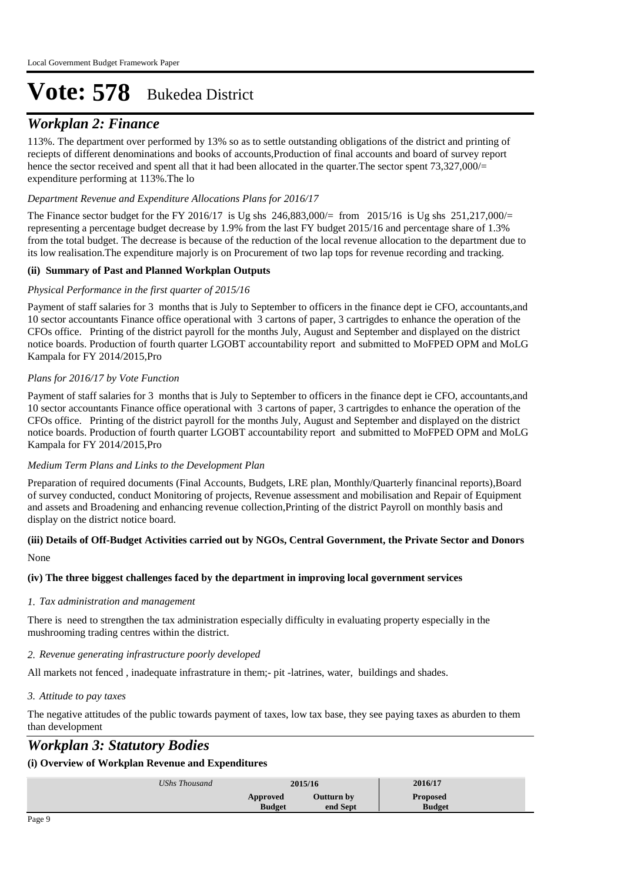## *Workplan 2: Finance*

113%. The department over performed by 13% so as to settle outstanding obligations of the district and printing of reciepts of different denominations and books of accounts,Production of final accounts and board of survey report hence the sector received and spent all that it had been allocated in the quarter. The sector spent 73,327,000/= expenditure performing at 113%.The lo

#### *Department Revenue and Expenditure Allocations Plans for 2016/17*

The Finance sector budget for the FY 2016/17 is Ug shs 246,883,000/= from 2015/16 is Ug shs 251,217,000/= representing a percentage budget decrease by 1.9% from the last FY budget 2015/16 and percentage share of 1.3% from the total budget. The decrease is because of the reduction of the local revenue allocation to the department due to its low realisation.The expenditure majorly is on Procurement of two lap tops for revenue recording and tracking.

#### **(ii) Summary of Past and Planned Workplan Outputs**

#### *Physical Performance in the first quarter of 2015/16*

Payment of staff salaries for 3 months that is July to September to officers in the finance dept ie CFO, accountants,and 10 sector accountants Finance office operational with 3 cartons of paper, 3 cartrigdes to enhance the operation of the CFOs office. Printing of the district payroll for the months July, August and September and displayed on the district notice boards. Production of fourth quarter LGOBT accountability report and submitted to MoFPED OPM and MoLG Kampala for FY 2014/2015,Pro

#### *Plans for 2016/17 by Vote Function*

Payment of staff salaries for 3 months that is July to September to officers in the finance dept ie CFO, accountants,and 10 sector accountants Finance office operational with 3 cartons of paper, 3 cartrigdes to enhance the operation of the CFOs office. Printing of the district payroll for the months July, August and September and displayed on the district notice boards. Production of fourth quarter LGOBT accountability report and submitted to MoFPED OPM and MoLG Kampala for FY 2014/2015,Pro

#### *Medium Term Plans and Links to the Development Plan*

Preparation of required documents (Final Accounts, Budgets, LRE plan, Monthly/Quarterly financinal reports),Board of survey conducted, conduct Monitoring of projects, Revenue assessment and mobilisation and Repair of Equipment and assets and Broadening and enhancing revenue collection,Printing of the district Payroll on monthly basis and display on the district notice board.

#### None **(iii) Details of Off-Budget Activities carried out by NGOs, Central Government, the Private Sector and Donors**

#### **(iv) The three biggest challenges faced by the department in improving local government services**

#### *Tax administration and management 1.*

There is need to strengthen the tax administration especially difficulty in evaluating property especially in the mushrooming trading centres within the district.

#### *Revenue generating infrastructure poorly developed 2.*

All markets not fenced , inadequate infrastrature in them;- pit -latrines, water, buildings and shades.

#### *Attitude to pay taxes 3.*

The negative attitudes of the public towards payment of taxes, low tax base, they see paying taxes as aburden to them than development

### *Workplan 3: Statutory Bodies*

#### **(i) Overview of Workplan Revenue and Expenditures**

| UShs Thousand |                           | 2015/16                | 2016/17                   |  |
|---------------|---------------------------|------------------------|---------------------------|--|
|               | Approved<br><b>Budget</b> | Outturn by<br>end Sept | Proposed<br><b>Budget</b> |  |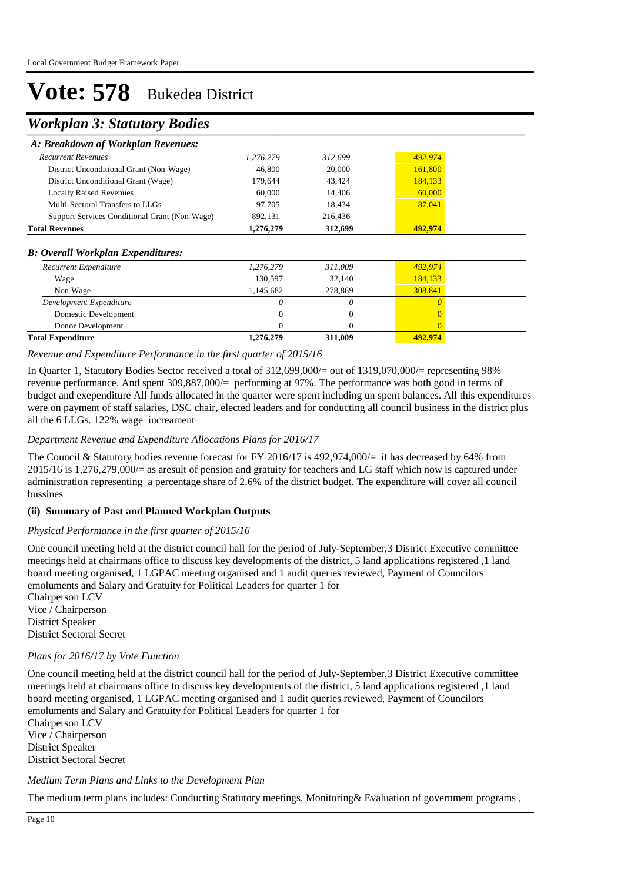### *Workplan 3: Statutory Bodies*

| <i>Hornpan S. Statutor y Doutes</i>           |           |          |         |  |
|-----------------------------------------------|-----------|----------|---------|--|
| A: Breakdown of Workplan Revenues:            |           |          |         |  |
| <b>Recurrent Revenues</b>                     | 1,276,279 | 312,699  | 492,974 |  |
| District Unconditional Grant (Non-Wage)       | 46,800    | 20,000   | 161,800 |  |
| District Unconditional Grant (Wage)           | 179,644   | 43,424   | 184,133 |  |
| <b>Locally Raised Revenues</b>                | 60,000    | 14,406   | 60,000  |  |
| Multi-Sectoral Transfers to LLGs              | 97,705    | 18,434   | 87,041  |  |
| Support Services Conditional Grant (Non-Wage) | 892,131   | 216,436  |         |  |
| <b>Total Revenues</b>                         | 1,276,279 | 312,699  | 492,974 |  |
| <b>B: Overall Workplan Expenditures:</b>      |           |          |         |  |
| Recurrent Expenditure                         | 1,276,279 | 311,009  | 492,974 |  |
| Wage                                          | 130,597   | 32,140   | 184,133 |  |
| Non Wage                                      | 1,145,682 | 278,869  | 308,841 |  |
| Development Expenditure                       |           | 0        |         |  |
| Domestic Development                          |           | $\Omega$ |         |  |
| Donor Development                             | 0         | $\Omega$ |         |  |
| <b>Total Expenditure</b>                      | 1,276,279 | 311,009  | 492,974 |  |

*Revenue and Expenditure Performance in the first quarter of 2015/16*

In Quarter 1, Statutory Bodies Sector received a total of 312,699,000/= out of 1319,070,000/= representing 98% revenue performance. And spent 309,887,000/= performing at 97%. The performance was both good in terms of budget and exependiture All funds allocated in the quarter were spent including un spent balances. All this expenditures were on payment of staff salaries, DSC chair, elected leaders and for conducting all council business in the district plus all the 6 LLGs. 122% wage increament

#### *Department Revenue and Expenditure Allocations Plans for 2016/17*

The Council & Statutory bodies revenue forecast for FY 2016/17 is 492,974,000/= it has decreased by 64% from 2015/16 is 1,276,279,000/= as aresult of pension and gratuity for teachers and LG staff which now is captured under administration representing a percentage share of 2.6% of the district budget. The expenditure will cover all council bussines

#### **(ii) Summary of Past and Planned Workplan Outputs**

#### *Physical Performance in the first quarter of 2015/16*

One council meeting held at the district council hall for the period of July-September,3 District Executive committee meetings held at chairmans office to discuss key developments of the district, 5 land applications registered ,1 land board meeting organised, 1 LGPAC meeting organised and 1 audit queries reviewed, Payment of Councilors emoluments and Salary and Gratuity for Political Leaders for quarter 1 for 

Chairperson LCV Vice / Chairperson District Speaker District Sectoral Secret

#### *Plans for 2016/17 by Vote Function*

One council meeting held at the district council hall for the period of July-September,3 District Executive committee meetings held at chairmans office to discuss key developments of the district, 5 land applications registered ,1 land board meeting organised, 1 LGPAC meeting organised and 1 audit queries reviewed, Payment of Councilors emoluments and Salary and Gratuity for Political Leaders for quarter 1 for 

Chairperson LCV Vice / Chairperson District Speaker District Sectoral Secret

*Medium Term Plans and Links to the Development Plan*

The medium term plans includes: Conducting Statutory meetings, Monitoring& Evaluation of government programs ,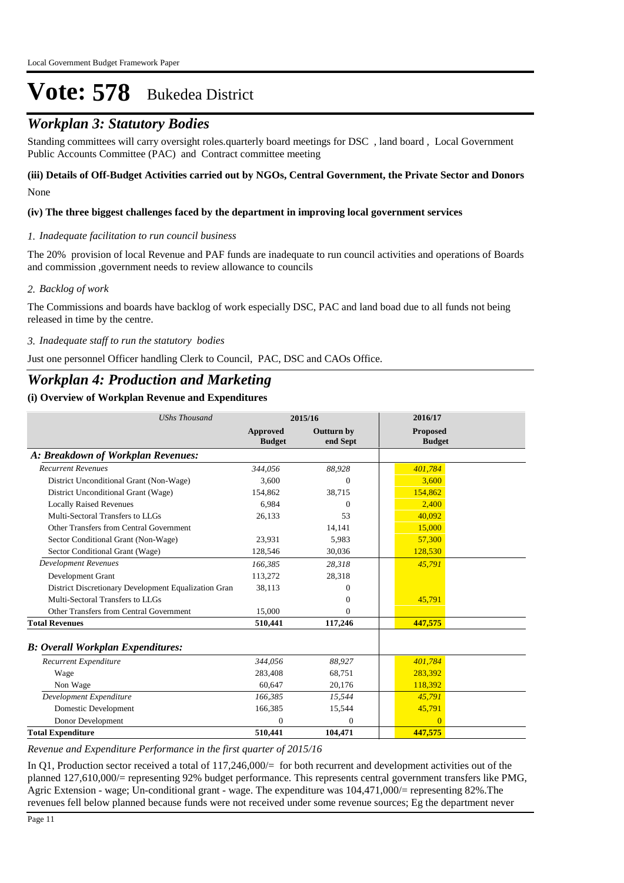## *Workplan 3: Statutory Bodies*

Standing committees will carry oversight roles.quarterly board meetings for DSC , land board , Local Government Public Accounts Committee (PAC) and Contract committee meeting

#### None **(iii) Details of Off-Budget Activities carried out by NGOs, Central Government, the Private Sector and Donors**

#### **(iv) The three biggest challenges faced by the department in improving local government services**

#### *Inadequate facilitation to run council business 1.*

The 20% provision of local Revenue and PAF funds are inadequate to run council activities and operations of Boards and commission ,government needs to review allowance to councils

#### *Backlog of work 2.*

The Commissions and boards have backlog of work especially DSC, PAC and land boad due to all funds not being released in time by the centre.

#### *Inadequate staff to run the statutory bodies 3.*

Just one personnel Officer handling Clerk to Council, PAC, DSC and CAOs Office.

## *Workplan 4: Production and Marketing*

#### **(i) Overview of Workplan Revenue and Expenditures**

| <b>UShs Thousand</b>                                 |                           | 2015/16                       | 2016/17                          |  |
|------------------------------------------------------|---------------------------|-------------------------------|----------------------------------|--|
|                                                      | Approved<br><b>Budget</b> | <b>Outturn by</b><br>end Sept | <b>Proposed</b><br><b>Budget</b> |  |
| A: Breakdown of Workplan Revenues:                   |                           |                               |                                  |  |
| <b>Recurrent Revenues</b>                            | 344.056                   | 88,928                        | 401,784                          |  |
| District Unconditional Grant (Non-Wage)              | 3,600                     | $\Omega$                      | 3,600                            |  |
| District Unconditional Grant (Wage)                  | 154,862                   | 38,715                        | 154,862                          |  |
| <b>Locally Raised Revenues</b>                       | 6.984                     | 0                             | 2,400                            |  |
| Multi-Sectoral Transfers to LLGs                     | 26,133                    | 53                            | 40.092                           |  |
| Other Transfers from Central Government              |                           | 14,141                        | 15,000                           |  |
| Sector Conditional Grant (Non-Wage)                  | 23,931                    | 5,983                         | 57,300                           |  |
| Sector Conditional Grant (Wage)                      | 128,546                   | 30,036                        | 128,530                          |  |
| <b>Development Revenues</b>                          | 166.385                   | 28,318                        | 45,791                           |  |
| Development Grant                                    | 113,272                   | 28,318                        |                                  |  |
| District Discretionary Development Equalization Gran | 38,113                    | 0                             |                                  |  |
| Multi-Sectoral Transfers to LLGs                     |                           | 0                             | 45,791                           |  |
| Other Transfers from Central Government              | 15,000                    | 0                             |                                  |  |
| <b>Total Revenues</b>                                | 510,441                   | 117,246                       | 447,575                          |  |
| <b>B: Overall Workplan Expenditures:</b>             |                           |                               |                                  |  |
| Recurrent Expenditure                                | 344,056                   | 88,927                        | 401,784                          |  |
| Wage                                                 | 283,408                   | 68,751                        | 283,392                          |  |
| Non Wage                                             | 60.647                    | 20,176                        | 118,392                          |  |
| Development Expenditure                              | 166,385                   | 15,544                        | 45,791                           |  |
| Domestic Development                                 | 166,385                   | 15,544                        | 45,791                           |  |
| Donor Development                                    | $\mathbf{0}$              | $\mathbf{0}$                  | $\overline{0}$                   |  |
| <b>Total Expenditure</b>                             | 510,441                   | 104,471                       | 447,575                          |  |

*Revenue and Expenditure Performance in the first quarter of 2015/16*

In Q1, Production sector received a total of 117,246,000/= for both recurrent and development activities out of the planned 127,610,000/= representing 92% budget performance. This represents central government transfers like PMG, Agric Extension - wage; Un-conditional grant - wage. The expenditure was 104,471,000/= representing 82%.The revenues fell below planned because funds were not received under some revenue sources; Eg the department never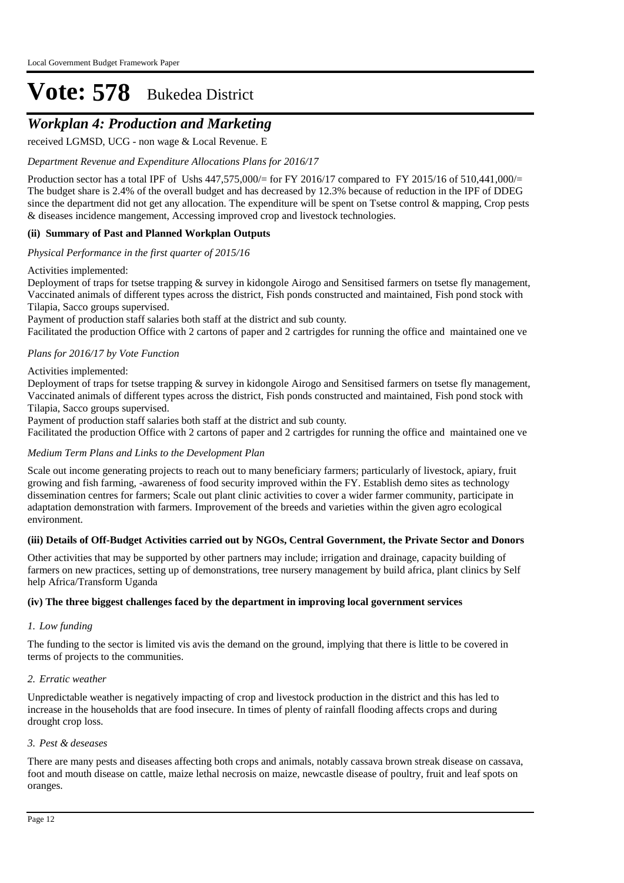## *Workplan 4: Production and Marketing*

received LGMSD, UCG - non wage & Local Revenue. E

#### *Department Revenue and Expenditure Allocations Plans for 2016/17*

Production sector has a total IPF of Ushs  $447,575,000/=$  for FY 2016/17 compared to FY 2015/16 of 510,441,000/= The budget share is 2.4% of the overall budget and has decreased by 12.3% because of reduction in the IPF of DDEG since the department did not get any allocation. The expenditure will be spent on Tsetse control & mapping, Crop pests & diseases incidence mangement, Accessing improved crop and livestock technologies.

#### **(ii) Summary of Past and Planned Workplan Outputs**

*Physical Performance in the first quarter of 2015/16*

#### Activities implemented:

Deployment of traps for tsetse trapping & survey in kidongole Airogo and Sensitised farmers on tsetse fly management, Vaccinated animals of different types across the district, Fish ponds constructed and maintained, Fish pond stock with Tilapia, Sacco groups supervised.

 Payment of production staff salaries both staff at the district and sub county. Facilitated the production Office with 2 cartons of paper and 2 cartrigdes for running the office and maintained one ve

#### *Plans for 2016/17 by Vote Function*

#### Activities implemented:

Deployment of traps for tsetse trapping & survey in kidongole Airogo and Sensitised farmers on tsetse fly management, Vaccinated animals of different types across the district, Fish ponds constructed and maintained, Fish pond stock with Tilapia, Sacco groups supervised.

 Payment of production staff salaries both staff at the district and sub county.

Facilitated the production Office with 2 cartons of paper and 2 cartrigdes for running the office and maintained one ve

#### *Medium Term Plans and Links to the Development Plan*

Scale out income generating projects to reach out to many beneficiary farmers; particularly of livestock, apiary, fruit growing and fish farming, -awareness of food security improved within the FY. Establish demo sites as technology dissemination centres for farmers; Scale out plant clinic activities to cover a wider farmer community, participate in adaptation demonstration with farmers. Improvement of the breeds and varieties within the given agro ecological environment.

#### **(iii) Details of Off-Budget Activities carried out by NGOs, Central Government, the Private Sector and Donors**

Other activities that may be supported by other partners may include; irrigation and drainage, capacity building of farmers on new practices, setting up of demonstrations, tree nursery management by build africa, plant clinics by Self help Africa/Transform Uganda

#### **(iv) The three biggest challenges faced by the department in improving local government services**

#### *Low funding 1.*

The funding to the sector is limited vis avis the demand on the ground, implying that there is little to be covered in terms of projects to the communities.

#### *Erratic weather 2.*

Unpredictable weather is negatively impacting of crop and livestock production in the district and this has led to increase in the households that are food insecure. In times of plenty of rainfall flooding affects crops and during drought crop loss.

#### *Pest & deseases 3.*

There are many pests and diseases affecting both crops and animals, notably cassava brown streak disease on cassava, foot and mouth disease on cattle, maize lethal necrosis on maize, newcastle disease of poultry, fruit and leaf spots on oranges.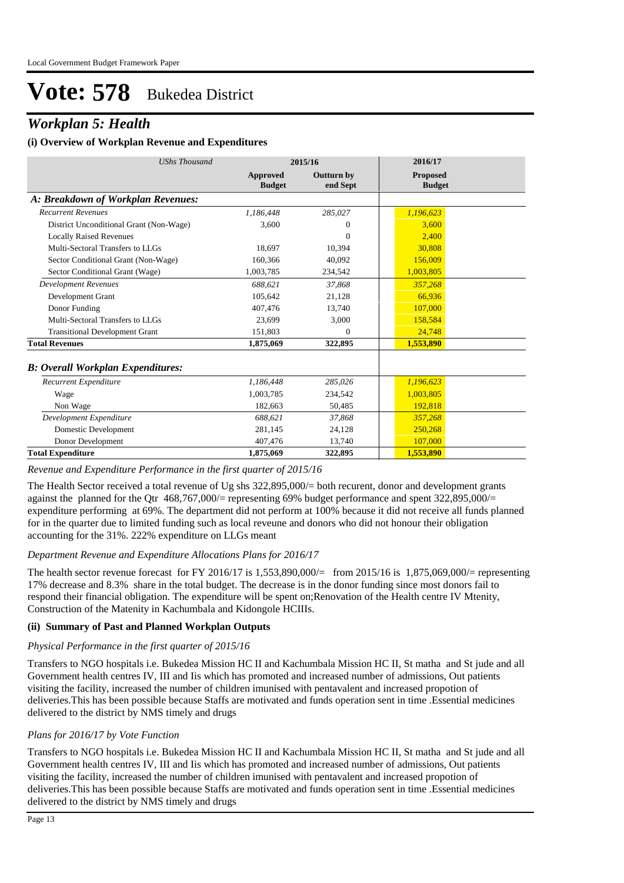## *Workplan 5: Health*

#### **(i) Overview of Workplan Revenue and Expenditures**

| <b>UShs Thousand</b>                     |                           | 2015/16                       | 2016/17                          |
|------------------------------------------|---------------------------|-------------------------------|----------------------------------|
|                                          | Approved<br><b>Budget</b> | <b>Outturn by</b><br>end Sept | <b>Proposed</b><br><b>Budget</b> |
| A: Breakdown of Workplan Revenues:       |                           |                               |                                  |
| <b>Recurrent Revenues</b>                | 1.186.448                 | 285,027                       | 1,196,623                        |
| District Unconditional Grant (Non-Wage)  | 3,600                     | 0                             | 3.600                            |
| <b>Locally Raised Revenues</b>           |                           | $\Omega$                      | 2.400                            |
| Multi-Sectoral Transfers to LLGs         | 18,697                    | 10,394                        | 30,808                           |
| Sector Conditional Grant (Non-Wage)      | 160,366                   | 40.092                        | 156,009                          |
| Sector Conditional Grant (Wage)          | 1,003,785                 | 234,542                       | 1,003,805                        |
| <b>Development Revenues</b>              | 688.621                   | 37,868                        | 357,268                          |
| Development Grant                        | 105.642                   | 21,128                        | 66.936                           |
| Donor Funding                            | 407,476                   | 13,740                        | 107,000                          |
| Multi-Sectoral Transfers to LLGs         | 23,699                    | 3,000                         | 158,584                          |
| <b>Transitional Development Grant</b>    | 151,803                   | $\Omega$                      | 24,748                           |
| <b>Total Revenues</b>                    | 1,875,069                 | 322,895                       | 1,553,890                        |
| <b>B: Overall Workplan Expenditures:</b> |                           |                               |                                  |
| Recurrent Expenditure                    | 1,186,448                 | 285,026                       | 1,196,623                        |
| Wage                                     | 1.003.785                 | 234,542                       | 1,003,805                        |
| Non Wage                                 | 182.663                   | 50,485                        | 192.818                          |
| Development Expenditure                  | 688,621                   | 37,868                        | 357,268                          |
| Domestic Development                     | 281,145                   | 24,128                        | 250,268                          |
| Donor Development                        | 407,476                   | 13,740                        | 107,000                          |
| <b>Total Expenditure</b>                 | 1,875,069                 | 322,895                       | 1,553,890                        |

#### *Revenue and Expenditure Performance in the first quarter of 2015/16*

The Health Sector received a total revenue of Ug shs 322,895,000/= both recurent, donor and development grants against the planned for the Qtr 468,767,000/= representing 69% budget performance and spent 322,895,000/= expenditure performing at 69%. The department did not perform at 100% because it did not receive all funds planned for in the quarter due to limited funding such as local reveune and donors who did not honour their obligation accounting for the 31%. 222% expenditure on LLGs meant

#### *Department Revenue and Expenditure Allocations Plans for 2016/17*

The health sector revenue forecast for FY 2016/17 is 1,553,890,000/= from 2015/16 is 1,875,069,000/= representing 17% decrease and 8.3% share in the total budget. The decrease is in the donor funding since most donors fail to respond their financial obligation. The expenditure will be spent on;Renovation of the Health centre IV Mtenity, Construction of the Matenity in Kachumbala and Kidongole HCIIIs.

#### **(ii) Summary of Past and Planned Workplan Outputs**

#### *Physical Performance in the first quarter of 2015/16*

Transfers to NGO hospitals i.e. Bukedea Mission HC II and Kachumbala Mission HC II, St matha and St jude and all Government health centres IV, III and Iis which has promoted and increased number of admissions, Out patients visiting the facility, increased the number of children imunised with pentavalent and increased propotion of deliveries.This has been possible because Staffs are motivated and funds operation sent in time .Essential medicines delivered to the district by NMS timely and drugs

#### *Plans for 2016/17 by Vote Function*

Transfers to NGO hospitals i.e. Bukedea Mission HC II and Kachumbala Mission HC II, St matha and St jude and all Government health centres IV, III and Iis which has promoted and increased number of admissions, Out patients visiting the facility, increased the number of children imunised with pentavalent and increased propotion of deliveries.This has been possible because Staffs are motivated and funds operation sent in time .Essential medicines delivered to the district by NMS timely and drugs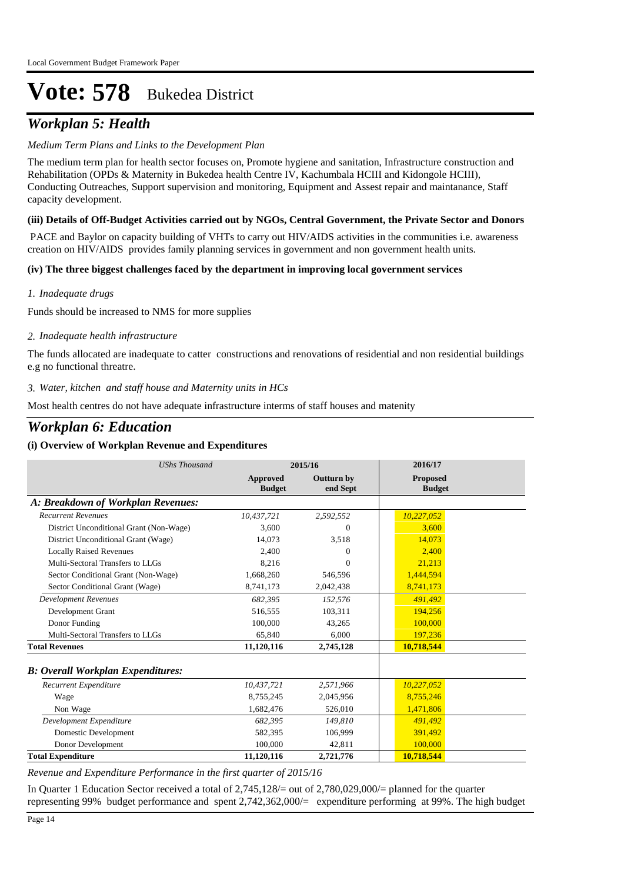## *Workplan 5: Health*

#### *Medium Term Plans and Links to the Development Plan*

The medium term plan for health sector focuses on, Promote hygiene and sanitation, Infrastructure construction and Rehabilitation (OPDs & Maternity in Bukedea health Centre IV, Kachumbala HCIII and Kidongole HCIII), Conducting Outreaches, Support supervision and monitoring, Equipment and Assest repair and maintanance, Staff capacity development.

#### **(iii) Details of Off-Budget Activities carried out by NGOs, Central Government, the Private Sector and Donors**

 PACE and Baylor on capacity building of VHTs to carry out HIV/AIDS activities in the communities i.e. awareness creation on HIV/AIDS provides family planning services in government and non government health units.

#### **(iv) The three biggest challenges faced by the department in improving local government services**

*Inadequate drugs 1.*

Funds should be increased to NMS for more supplies

#### *Inadequate health infrastructure 2.*

The funds allocated are inadequate to catter constructions and renovations of residential and non residential buildings e.g no functional threatre.

#### *Water, kitchen and staff house and Maternity units in HCs 3.*

Most health centres do not have adequate infrastructure interms of staff houses and matenity

### *Workplan 6: Education*

#### **(i) Overview of Workplan Revenue and Expenditures**

| <b>UShs Thousand</b>                     |                           | 2015/16                       | 2016/17                          |
|------------------------------------------|---------------------------|-------------------------------|----------------------------------|
|                                          | Approved<br><b>Budget</b> | <b>Outturn by</b><br>end Sept | <b>Proposed</b><br><b>Budget</b> |
| A: Breakdown of Workplan Revenues:       |                           |                               |                                  |
| <b>Recurrent Revenues</b>                | 10,437,721                | 2,592,552                     | 10,227,052                       |
| District Unconditional Grant (Non-Wage)  | 3,600                     | $\Omega$                      | 3.600                            |
| District Unconditional Grant (Wage)      | 14,073                    | 3,518                         | 14,073                           |
| <b>Locally Raised Revenues</b>           | 2.400                     | $\Omega$                      | 2.400                            |
| Multi-Sectoral Transfers to LLGs         | 8,216                     | $\Omega$                      | 21,213                           |
| Sector Conditional Grant (Non-Wage)      | 1,668,260                 | 546,596                       | 1,444,594                        |
| Sector Conditional Grant (Wage)          | 8,741,173                 | 2,042,438                     | 8,741,173                        |
| <b>Development Revenues</b>              | 682.395                   | 152,576                       | 491.492                          |
| Development Grant                        | 516,555                   | 103,311                       | 194,256                          |
| Donor Funding                            | 100,000                   | 43,265                        | 100,000                          |
| Multi-Sectoral Transfers to LLGs         | 65.840                    | 6.000                         | 197,236                          |
| <b>Total Revenues</b>                    | 11,120,116                | 2,745,128                     | 10,718,544                       |
| <b>B: Overall Workplan Expenditures:</b> |                           |                               |                                  |
| Recurrent Expenditure                    | 10,437,721                | 2,571,966                     | 10,227,052                       |
| Wage                                     | 8,755,245                 | 2,045,956                     | 8,755,246                        |
| Non Wage                                 | 1,682,476                 | 526,010                       | 1,471,806                        |
| Development Expenditure                  | 682,395                   | 149,810                       | 491,492                          |
| Domestic Development                     | 582,395                   | 106,999                       | 391,492                          |
| Donor Development                        | 100,000                   | 42,811                        | 100,000                          |
| <b>Total Expenditure</b>                 | 11,120,116                | 2,721,776                     | 10,718,544                       |

*Revenue and Expenditure Performance in the first quarter of 2015/16*

In Quarter 1 Education Sector received a total of 2,745,128/= out of 2,780,029,000/= planned for the quarter representing 99% budget performance and spent 2,742,362,000/= expenditure performing at 99%. The high budget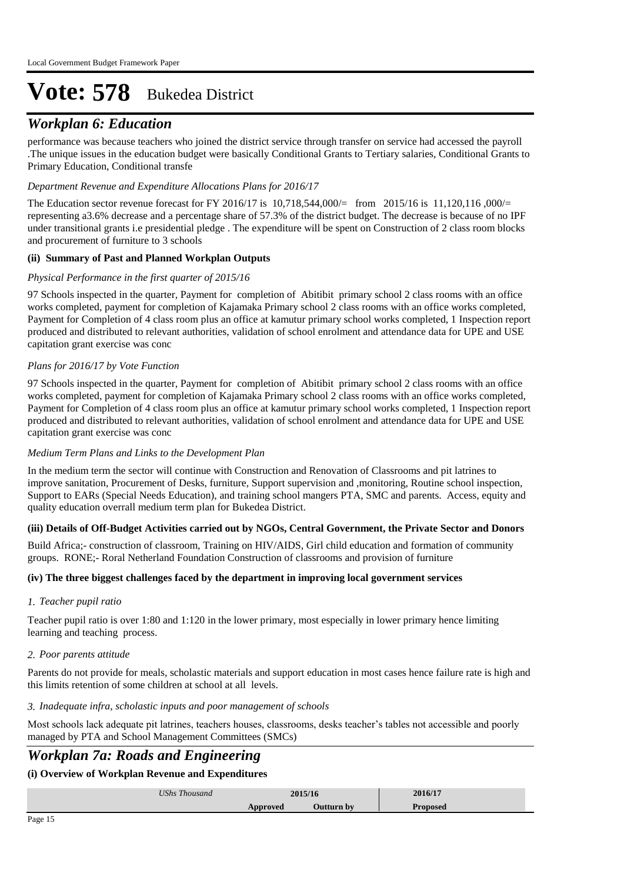### *Workplan 6: Education*

performance was because teachers who joined the district service through transfer on service had accessed the payroll .The unique issues in the education budget were basically Conditional Grants to Tertiary salaries, Conditional Grants to Primary Education, Conditional transfe

#### *Department Revenue and Expenditure Allocations Plans for 2016/17*

The Education sector revenue forecast for FY 2016/17 is 10,718,544,000/= from 2015/16 is 11,120,116 ,000/= representing a3.6% decrease and a percentage share of 57.3% of the district budget. The decrease is because of no IPF under transitional grants i.e presidential pledge . The expenditure will be spent on Construction of 2 class room blocks and procurement of furniture to 3 schools

#### **(ii) Summary of Past and Planned Workplan Outputs**

#### *Physical Performance in the first quarter of 2015/16*

97 Schools inspected in the quarter, Payment for completion of Abitibit primary school 2 class rooms with an office works completed, payment for completion of Kajamaka Primary school 2 class rooms with an office works completed, Payment for Completion of 4 class room plus an office at kamutur primary school works completed, 1 Inspection report produced and distributed to relevant authorities, validation of school enrolment and attendance data for UPE and USE capitation grant exercise was conc

#### *Plans for 2016/17 by Vote Function*

97 Schools inspected in the quarter, Payment for completion of Abitibit primary school 2 class rooms with an office works completed, payment for completion of Kajamaka Primary school 2 class rooms with an office works completed, Payment for Completion of 4 class room plus an office at kamutur primary school works completed, 1 Inspection report produced and distributed to relevant authorities, validation of school enrolment and attendance data for UPE and USE capitation grant exercise was conc

#### *Medium Term Plans and Links to the Development Plan*

In the medium term the sector will continue with Construction and Renovation of Classrooms and pit latrines to improve sanitation, Procurement of Desks, furniture, Support supervision and ,monitoring, Routine school inspection, Support to EARs (Special Needs Education), and training school mangers PTA, SMC and parents. Access, equity and quality education overrall medium term plan for Bukedea District.

#### **(iii) Details of Off-Budget Activities carried out by NGOs, Central Government, the Private Sector and Donors**

Build Africa;- construction of classroom, Training on HIV/AIDS, Girl child education and formation of community groups. RONE;- Roral Netherland Foundation Construction of classrooms and provision of furniture

#### **(iv) The three biggest challenges faced by the department in improving local government services**

#### *Teacher pupil ratio 1.*

Teacher pupil ratio is over 1:80 and 1:120 in the lower primary, most especially in lower primary hence limiting learning and teaching process.

#### *Poor parents attitude 2.*

Parents do not provide for meals, scholastic materials and support education in most cases hence failure rate is high and this limits retention of some children at school at all levels.

#### *Inadequate infra, scholastic inputs and poor management of schools 3.*

Most schools lack adequate pit latrines, teachers houses, classrooms, desks teacher's tables not accessible and poorly managed by PTA and School Management Committees (SMCs)

### *Workplan 7a: Roads and Engineering*

#### **(i) Overview of Workplan Revenue and Expenditures**

| <b>UShs</b><br>$\sim$<br>l housand | $201516$<br>5/ I D |    | 1/17<br>2010/17  |  |
|------------------------------------|--------------------|----|------------------|--|
|                                    | $T \cap T$<br>vu   | hx | 000 <sub>1</sub> |  |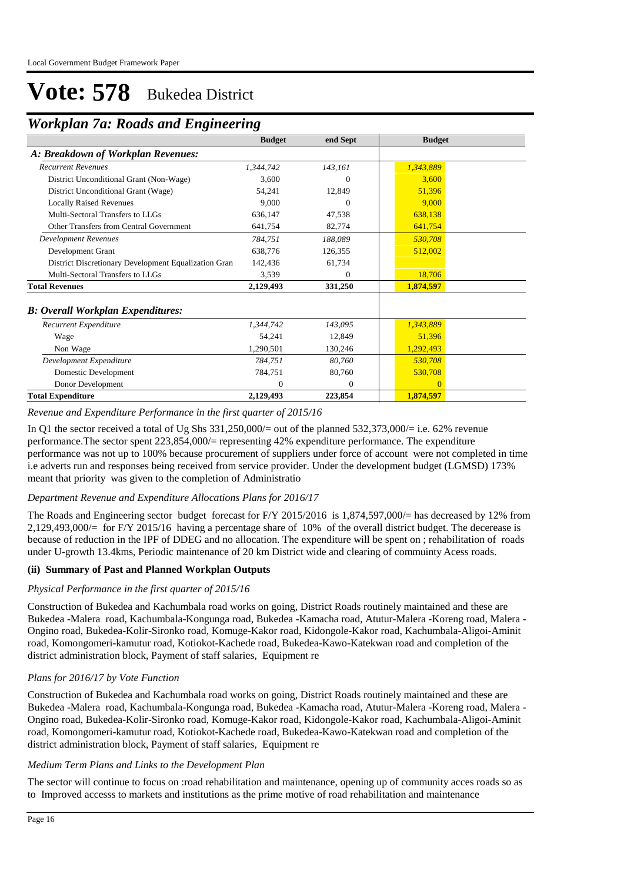## *Workplan 7a: Roads and Engineering*

| workpan / a. Koaas and Engineering                   |               |          |               |  |  |
|------------------------------------------------------|---------------|----------|---------------|--|--|
|                                                      | <b>Budget</b> | end Sept | <b>Budget</b> |  |  |
| A: Breakdown of Workplan Revenues:                   |               |          |               |  |  |
| <b>Recurrent Revenues</b>                            | 1,344,742     | 143,161  | 1,343,889     |  |  |
| District Unconditional Grant (Non-Wage)              | 3,600         | 0        | 3,600         |  |  |
| District Unconditional Grant (Wage)                  | 54,241        | 12,849   | 51,396        |  |  |
| <b>Locally Raised Revenues</b>                       | 9.000         | 0        | 9,000         |  |  |
| Multi-Sectoral Transfers to LLGs                     | 636,147       | 47,538   | 638,138       |  |  |
| Other Transfers from Central Government              | 641,754       | 82,774   | 641,754       |  |  |
| <b>Development Revenues</b>                          | 784,751       | 188,089  | 530,708       |  |  |
| Development Grant                                    | 638,776       | 126,355  | 512,002       |  |  |
| District Discretionary Development Equalization Gran | 142,436       | 61,734   |               |  |  |
| Multi-Sectoral Transfers to LLGs                     | 3,539         | $\theta$ | 18,706        |  |  |
| <b>Total Revenues</b>                                | 2,129,493     | 331,250  | 1,874,597     |  |  |
| <b>B: Overall Workplan Expenditures:</b>             |               |          |               |  |  |
| Recurrent Expenditure                                | 1,344,742     | 143,095  | 1,343,889     |  |  |
| Wage                                                 | 54,241        | 12,849   | 51,396        |  |  |
| Non Wage                                             | 1,290,501     | 130,246  | 1,292,493     |  |  |
| Development Expenditure                              | 784,751       | 80,760   | 530,708       |  |  |
| Domestic Development                                 | 784,751       | 80,760   | 530,708       |  |  |
| Donor Development                                    | $\Omega$      | $\theta$ | $\Omega$      |  |  |
| <b>Total Expenditure</b>                             | 2,129,493     | 223,854  | 1,874,597     |  |  |

*Revenue and Expenditure Performance in the first quarter of 2015/16*

In Q1 the sector received a total of Ug Shs 331,250,000/= out of the planned 532,373,000/= i.e. 62% revenue performance.The sector spent 223,854,000/= representing 42% expenditure performance. The expenditure performance was not up to 100% because procurement of suppliers under force of account were not completed in time i.e adverts run and responses being received from service provider. Under the development budget (LGMSD) 173% meant that priority was given to the completion of Administratio

#### *Department Revenue and Expenditure Allocations Plans for 2016/17*

The Roads and Engineering sector budget forecast for F/Y 2015/2016 is 1,874,597,000/= has decreased by 12% from 2,129,493,000/= for F/Y 2015/16 having a percentage share of 10% of the overall district budget. The decerease is because of reduction in the IPF of DDEG and no allocation. The expenditure will be spent on ; rehabilitation of roads under U-growth 13.4kms, Periodic maintenance of 20 km District wide and clearing of commuinty Acess roads.

#### **(ii) Summary of Past and Planned Workplan Outputs**

#### *Physical Performance in the first quarter of 2015/16*

Construction of Bukedea and Kachumbala road works on going, District Roads routinely maintained and these are Bukedea -Malera road, Kachumbala-Kongunga road, Bukedea -Kamacha road, Atutur-Malera -Koreng road, Malera - Ongino road, Bukedea-Kolir-Sironko road, Komuge-Kakor road, Kidongole-Kakor road, Kachumbala-Aligoi-Aminit road, Komongomeri-kamutur road, Kotiokot-Kachede road, Bukedea-Kawo-Katekwan road and completion of the district administration block, Payment of staff salaries, Equipment re

#### *Plans for 2016/17 by Vote Function*

Construction of Bukedea and Kachumbala road works on going, District Roads routinely maintained and these are Bukedea -Malera road, Kachumbala-Kongunga road, Bukedea -Kamacha road, Atutur-Malera -Koreng road, Malera - Ongino road, Bukedea-Kolir-Sironko road, Komuge-Kakor road, Kidongole-Kakor road, Kachumbala-Aligoi-Aminit road, Komongomeri-kamutur road, Kotiokot-Kachede road, Bukedea-Kawo-Katekwan road and completion of the district administration block, Payment of staff salaries, Equipment re

#### *Medium Term Plans and Links to the Development Plan*

The sector will continue to focus on :road rehabilitation and maintenance, opening up of community acces roads so as to Improved accesss to markets and institutions as the prime motive of road rehabilitation and maintenance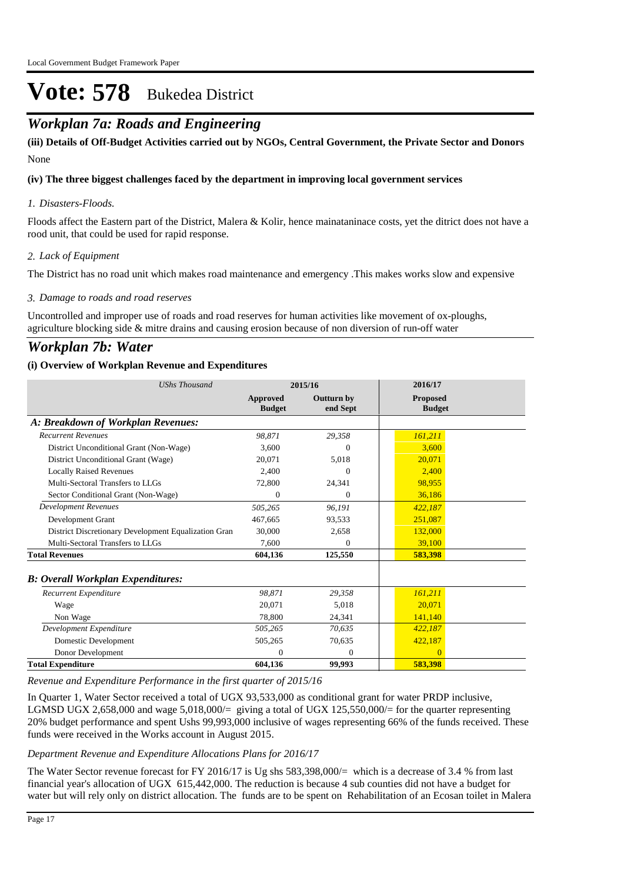### *Workplan 7a: Roads and Engineering*

None **(iii) Details of Off-Budget Activities carried out by NGOs, Central Government, the Private Sector and Donors** 

#### **(iv) The three biggest challenges faced by the department in improving local government services**

#### *Disasters-Floods. 1.*

Floods affect the Eastern part of the District, Malera & Kolir, hence mainataninace costs, yet the ditrict does not have a rood unit, that could be used for rapid response.

#### *Lack of Equipment 2.*

The District has no road unit which makes road maintenance and emergency .This makes works slow and expensive

#### *Damage to roads and road reserves 3.*

Uncontrolled and improper use of roads and road reserves for human activities like movement of ox-ploughs, agriculture blocking side & mitre drains and causing erosion because of non diversion of run-off water

### *Workplan 7b: Water*

#### **(i) Overview of Workplan Revenue and Expenditures**

| <b>UShs Thousand</b>                                 | 2015/16                          |                               | 2016/17                          |  |
|------------------------------------------------------|----------------------------------|-------------------------------|----------------------------------|--|
|                                                      | <b>Approved</b><br><b>Budget</b> | <b>Outturn by</b><br>end Sept | <b>Proposed</b><br><b>Budget</b> |  |
| A: Breakdown of Workplan Revenues:                   |                                  |                               |                                  |  |
| <b>Recurrent Revenues</b>                            | 98.871                           | 29,358                        | 161,211                          |  |
| District Unconditional Grant (Non-Wage)              | 3.600                            | $\Omega$                      | 3.600                            |  |
| District Unconditional Grant (Wage)                  | 20.071                           | 5,018                         | 20,071                           |  |
| <b>Locally Raised Revenues</b>                       | 2.400                            | $\Omega$                      | 2.400                            |  |
| Multi-Sectoral Transfers to LLGs                     | 72,800                           | 24,341                        | 98.955                           |  |
| Sector Conditional Grant (Non-Wage)                  | $\mathbf{0}$                     | $\Omega$                      | 36,186                           |  |
| <b>Development Revenues</b>                          | 505,265                          | 96.191                        | 422,187                          |  |
| Development Grant                                    | 467.665                          | 93.533                        | 251.087                          |  |
| District Discretionary Development Equalization Gran | 30,000                           | 2,658                         | 132,000                          |  |
| Multi-Sectoral Transfers to LLGs                     | 7,600                            | $\Omega$                      | 39,100                           |  |
| <b>Total Revenues</b>                                | 604,136                          | 125,550                       | 583,398                          |  |
| <b>B</b> : Overall Workplan Expenditures:            |                                  |                               |                                  |  |
| Recurrent Expenditure                                | 98.871                           | 29,358                        | 161,211                          |  |
| Wage                                                 | 20.071                           | 5.018                         | 20,071                           |  |
| Non Wage                                             | 78,800                           | 24,341                        | 141,140                          |  |
| Development Expenditure                              | 505,265                          | 70,635                        | 422,187                          |  |
| Domestic Development                                 | 505,265                          | 70,635                        | 422,187                          |  |
| Donor Development                                    | $\Omega$                         | $\mathbf{0}$                  | $\Omega$                         |  |
| <b>Total Expenditure</b>                             | 604,136                          | 99,993                        | 583,398                          |  |

*Revenue and Expenditure Performance in the first quarter of 2015/16*

In Quarter 1, Water Sector received a total of UGX 93,533,000 as conditional grant for water PRDP inclusive, LGMSD UGX 2,658,000 and wage 5,018,000/= giving a total of UGX 125,550,000/= for the quarter representing 20% budget performance and spent Ushs 99,993,000 inclusive of wages representing 66% of the funds received. These funds were received in the Works account in August 2015.

#### *Department Revenue and Expenditure Allocations Plans for 2016/17*

The Water Sector revenue forecast for FY 2016/17 is Ug shs  $583,398,000/=$  which is a decrease of 3.4 % from last financial year's allocation of UGX 615,442,000. The reduction is because 4 sub counties did not have a budget for water but will rely only on district allocation. The funds are to be spent on Rehabilitation of an Ecosan toilet in Malera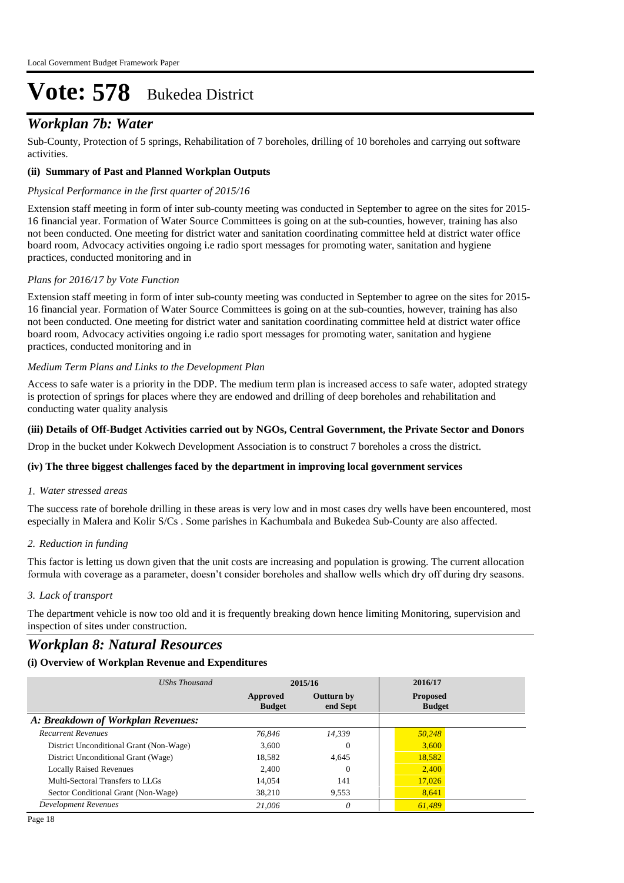### *Workplan 7b: Water*

Sub-County, Protection of 5 springs, Rehabilitation of 7 boreholes, drilling of 10 boreholes and carrying out software activities.

#### **(ii) Summary of Past and Planned Workplan Outputs**

#### *Physical Performance in the first quarter of 2015/16*

Extension staff meeting in form of inter sub-county meeting was conducted in September to agree on the sites for 2015- 16 financial year. Formation of Water Source Committees is going on at the sub-counties, however, training has also not been conducted. One meeting for district water and sanitation coordinating committee held at district water office board room, Advocacy activities ongoing i.e radio sport messages for promoting water, sanitation and hygiene practices, conducted monitoring and in

#### *Plans for 2016/17 by Vote Function*

Extension staff meeting in form of inter sub-county meeting was conducted in September to agree on the sites for 2015- 16 financial year. Formation of Water Source Committees is going on at the sub-counties, however, training has also not been conducted. One meeting for district water and sanitation coordinating committee held at district water office board room, Advocacy activities ongoing i.e radio sport messages for promoting water, sanitation and hygiene practices, conducted monitoring and in

#### *Medium Term Plans and Links to the Development Plan*

Access to safe water is a priority in the DDP. The medium term plan is increased access to safe water, adopted strategy is protection of springs for places where they are endowed and drilling of deep boreholes and rehabilitation and conducting water quality analysis

#### **(iii) Details of Off-Budget Activities carried out by NGOs, Central Government, the Private Sector and Donors**

Drop in the bucket under Kokwech Development Association is to construct 7 boreholes a cross the district.

#### **(iv) The three biggest challenges faced by the department in improving local government services**

#### *Water stressed areas 1.*

The success rate of borehole drilling in these areas is very low and in most cases dry wells have been encountered, most especially in Malera and Kolir S/Cs . Some parishes in Kachumbala and Bukedea Sub-County are also affected.

#### *Reduction in funding 2.*

This factor is letting us down given that the unit costs are increasing and population is growing. The current allocation formula with coverage as a parameter, doesn't consider boreholes and shallow wells which dry off during dry seasons.

#### *Lack of transport 3.*

The department vehicle is now too old and it is frequently breaking down hence limiting Monitoring, supervision and inspection of sites under construction.

### *Workplan 8: Natural Resources*

#### **(i) Overview of Workplan Revenue and Expenditures**

| UShs Thousand                           |                                                            | 2015/16  | 2016/17                          |  |
|-----------------------------------------|------------------------------------------------------------|----------|----------------------------------|--|
|                                         | <b>Outturn by</b><br>Approved<br><b>Budget</b><br>end Sept |          | <b>Proposed</b><br><b>Budget</b> |  |
| A: Breakdown of Workplan Revenues:      |                                                            |          |                                  |  |
| <b>Recurrent Revenues</b>               | 76.846                                                     | 14,339   | 50.248                           |  |
| District Unconditional Grant (Non-Wage) | 3.600                                                      | $\Omega$ | 3,600                            |  |
| District Unconditional Grant (Wage)     | 18,582                                                     | 4.645    | 18,582                           |  |
| <b>Locally Raised Revenues</b>          | 2.400                                                      | $\Omega$ | 2,400                            |  |
| Multi-Sectoral Transfers to LLGs        | 14.054                                                     | 141      | 17,026                           |  |
| Sector Conditional Grant (Non-Wage)     | 38.210                                                     | 9,553    | 8.641                            |  |
| Development Revenues                    | 21,006                                                     | $\Omega$ | 61.489                           |  |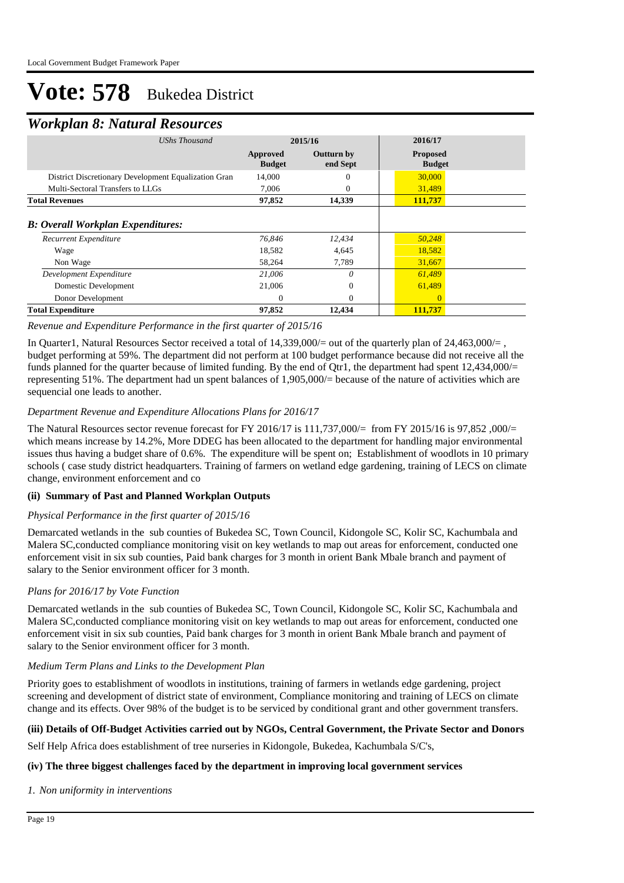### *Workplan 8: Natural Resources*

| $1.011$ $\mu$ $\mu$ $\mu$ $\mu$ $\sigma$ $\sigma$ $\tau$ $\tau$ $\sigma$ $\sigma$ $\sigma$ |                           |                               |                                  |  |  |  |
|--------------------------------------------------------------------------------------------|---------------------------|-------------------------------|----------------------------------|--|--|--|
| <b>UShs Thousand</b>                                                                       | 2015/16                   |                               | 2016/17                          |  |  |  |
|                                                                                            | Approved<br><b>Budget</b> | <b>Outturn by</b><br>end Sept | <b>Proposed</b><br><b>Budget</b> |  |  |  |
| District Discretionary Development Equalization Gran                                       | 14,000                    | 0                             | 30,000                           |  |  |  |
| Multi-Sectoral Transfers to LLGs                                                           | 7,006                     | 0                             | 31,489                           |  |  |  |
| <b>Total Revenues</b>                                                                      | 97,852                    | 14,339                        | 111,737                          |  |  |  |
| <b>B: Overall Workplan Expenditures:</b><br>Recurrent Expenditure                          | 76,846                    | 12,434                        | 50,248                           |  |  |  |
| Wage                                                                                       | 18,582                    | 4,645                         | 18,582                           |  |  |  |
| Non Wage<br>Development Expenditure                                                        | 58,264<br>21,006          | 7,789<br>0                    | 31,667<br>61,489                 |  |  |  |
| Domestic Development<br>Donor Development                                                  | 21,006<br>$\mathbf{0}$    | $\mathbf{0}$<br>$\Omega$      | 61,489<br>$\Omega$               |  |  |  |
| <b>Total Expenditure</b>                                                                   | 97,852                    | 12,434                        | 111,737                          |  |  |  |

#### *Revenue and Expenditure Performance in the first quarter of 2015/16*

In Quarter1, Natural Resources Sector received a total of  $14,339,000/=$  out of the quarterly plan of  $24,463,000/=$ , budget performing at 59%. The department did not perform at 100 budget performance because did not receive all the funds planned for the quarter because of limited funding. By the end of Qtr1, the department had spent 12,434,000/= representing 51%. The department had un spent balances of 1,905,000/= because of the nature of activities which are sequencial one leads to another.

#### *Department Revenue and Expenditure Allocations Plans for 2016/17*

The Natural Resources sector revenue forecast for FY 2016/17 is 111,737,000/= from FY 2015/16 is 97,852 ,000/= which means increase by 14.2%, More DDEG has been allocated to the department for handling major environmental issues thus having a budget share of 0.6%. The expenditure will be spent on; Establishment of woodlots in 10 primary schools ( case study district headquarters. Training of farmers on wetland edge gardening, training of LECS on climate change, environment enforcement and co

#### **(ii) Summary of Past and Planned Workplan Outputs**

#### *Physical Performance in the first quarter of 2015/16*

Demarcated wetlands in the sub counties of Bukedea SC, Town Council, Kidongole SC, Kolir SC, Kachumbala and Malera SC,conducted compliance monitoring visit on key wetlands to map out areas for enforcement, conducted one enforcement visit in six sub counties, Paid bank charges for 3 month in orient Bank Mbale branch and payment of salary to the Senior environment officer for 3 month.

#### *Plans for 2016/17 by Vote Function*

Demarcated wetlands in the sub counties of Bukedea SC, Town Council, Kidongole SC, Kolir SC, Kachumbala and Malera SC,conducted compliance monitoring visit on key wetlands to map out areas for enforcement, conducted one enforcement visit in six sub counties, Paid bank charges for 3 month in orient Bank Mbale branch and payment of salary to the Senior environment officer for 3 month.

#### *Medium Term Plans and Links to the Development Plan*

Priority goes to establishment of woodlots in institutions, training of farmers in wetlands edge gardening, project screening and development of district state of environment, Compliance monitoring and training of LECS on climate change and its effects. Over 98% of the budget is to be serviced by conditional grant and other government transfers.

#### **(iii) Details of Off-Budget Activities carried out by NGOs, Central Government, the Private Sector and Donors**

Self Help Africa does establishment of tree nurseries in Kidongole, Bukedea, Kachumbala S/C's,

#### **(iv) The three biggest challenges faced by the department in improving local government services**

#### *Non uniformity in interventions 1.*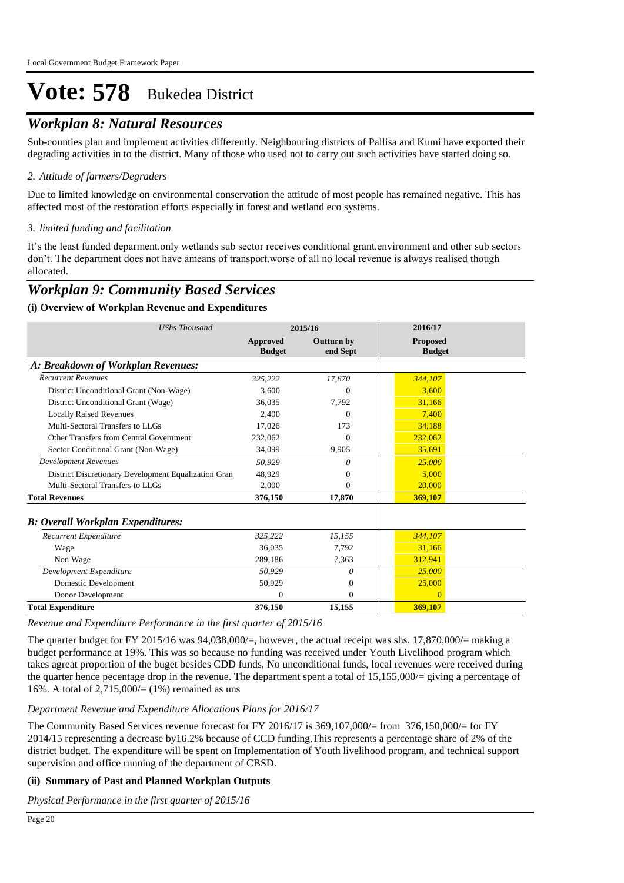### *Workplan 8: Natural Resources*

Sub-counties plan and implement activities differently. Neighbouring districts of Pallisa and Kumi have exported their degrading activities in to the district. Many of those who used not to carry out such activities have started doing so.

#### *Attitude of farmers/Degraders 2.*

Due to limited knowledge on environmental conservation the attitude of most people has remained negative. This has affected most of the restoration efforts especially in forest and wetland eco systems.

#### *limited funding and facilitation 3.*

It's the least funded deparment.only wetlands sub sector receives conditional grant.environment and other sub sectors don't. The department does not have ameans of transport.worse of all no local revenue is always realised though allocated.

### *Workplan 9: Community Based Services*

#### **(i) Overview of Workplan Revenue and Expenditures**

| <b>UShs Thousand</b>                                 | 2015/16                   |                               | 2016/17                   |
|------------------------------------------------------|---------------------------|-------------------------------|---------------------------|
|                                                      | Approved<br><b>Budget</b> | <b>Outturn by</b><br>end Sept | Proposed<br><b>Budget</b> |
| A: Breakdown of Workplan Revenues:                   |                           |                               |                           |
| <b>Recurrent Revenues</b>                            | 325,222                   | 17,870                        | 344,107                   |
| District Unconditional Grant (Non-Wage)              | 3.600                     | $\Omega$                      | 3.600                     |
| District Unconditional Grant (Wage)                  | 36,035                    | 7,792                         | 31,166                    |
| <b>Locally Raised Revenues</b>                       | 2.400                     | $^{(1)}$                      | 7.400                     |
| Multi-Sectoral Transfers to LLGs                     | 17,026                    | 173                           | 34,188                    |
| Other Transfers from Central Government              | 232,062                   | $\Omega$                      | 232,062                   |
| Sector Conditional Grant (Non-Wage)                  | 34,099                    | 9,905                         | 35,691                    |
| <b>Development Revenues</b>                          | 50,929                    | 0                             | 25,000                    |
| District Discretionary Development Equalization Gran | 48.929                    | 0                             | 5,000                     |
| Multi-Sectoral Transfers to LLGs                     | 2,000                     | 0                             | 20,000                    |
| <b>Total Revenues</b>                                | 376,150                   | 17,870                        | 369,107                   |
| <b>B: Overall Workplan Expenditures:</b>             |                           |                               |                           |
| Recurrent Expenditure                                | 325,222                   | 15,155                        | 344,107                   |
| Wage                                                 | 36.035                    | 7,792                         | 31,166                    |
| Non Wage                                             | 289,186                   | 7,363                         | 312,941                   |
| Development Expenditure                              | 50,929                    | 0                             | 25,000                    |
| Domestic Development                                 | 50,929                    | $\theta$                      | 25,000                    |
| Donor Development                                    | $\Omega$                  | $\Omega$                      | $\Omega$                  |
| <b>Total Expenditure</b>                             | 376,150                   | 15,155                        | 369,107                   |

*Revenue and Expenditure Performance in the first quarter of 2015/16*

The quarter budget for FY 2015/16 was 94,038,000/=, however, the actual receipt was shs. 17,870,000/= making a budget performance at 19%. This was so because no funding was received under Youth Livelihood program which takes agreat proportion of the buget besides CDD funds, No unconditional funds, local revenues were received during the quarter hence pecentage drop in the revenue. The department spent a total of 15,155,000/= giving a percentage of 16%. A total of  $2,715,000 = (1\%)$  remained as uns

#### *Department Revenue and Expenditure Allocations Plans for 2016/17*

The Community Based Services revenue forecast for FY 2016/17 is 369,107,000/= from 376,150,000/= for FY 2014/15 representing a decrease by16.2% because of CCD funding.This represents a percentage share of 2% of the district budget. The expenditure will be spent on Implementation of Youth livelihood program, and technical support supervision and office running of the department of CBSD.

#### **(ii) Summary of Past and Planned Workplan Outputs**

*Physical Performance in the first quarter of 2015/16*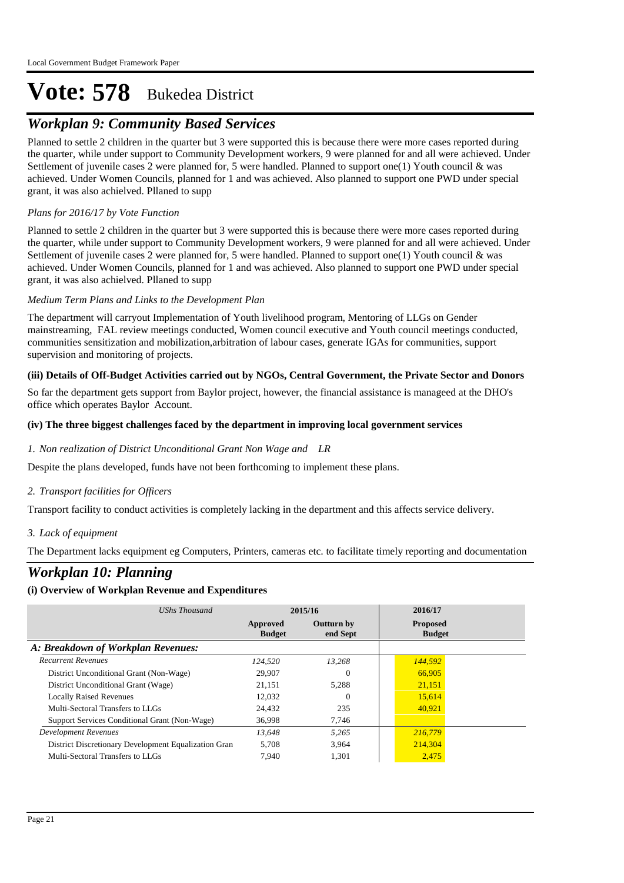## *Workplan 9: Community Based Services*

Planned to settle 2 children in the quarter but 3 were supported this is because there were more cases reported during the quarter, while under support to Community Development workers, 9 were planned for and all were achieved. Under Settlement of juvenile cases 2 were planned for, 5 were handled. Planned to support one(1) Youth council & was achieved. Under Women Councils, planned for 1 and was achieved. Also planned to support one PWD under special grant, it was also achielved. Pllaned to supp

#### *Plans for 2016/17 by Vote Function*

Planned to settle 2 children in the quarter but 3 were supported this is because there were more cases reported during the quarter, while under support to Community Development workers, 9 were planned for and all were achieved. Under Settlement of juvenile cases 2 were planned for, 5 were handled. Planned to support one(1) Youth council & was achieved. Under Women Councils, planned for 1 and was achieved. Also planned to support one PWD under special grant, it was also achielved. Pllaned to supp

#### *Medium Term Plans and Links to the Development Plan*

The department will carryout Implementation of Youth livelihood program, Mentoring of LLGs on Gender mainstreaming, FAL review meetings conducted, Women council executive and Youth council meetings conducted, communities sensitization and mobilization,arbitration of labour cases, generate IGAs for communities, support supervision and monitoring of projects.

#### **(iii) Details of Off-Budget Activities carried out by NGOs, Central Government, the Private Sector and Donors**

So far the department gets support from Baylor project, however, the financial assistance is manageed at the DHO's office which operates Baylor Account.

#### **(iv) The three biggest challenges faced by the department in improving local government services**

#### *Non realization of District Unconditional Grant Non Wage and LR 1.*

Despite the plans developed, funds have not been forthcoming to implement these plans.

#### *Transport facilities for Officers 2.*

Transport facility to conduct activities is completely lacking in the department and this affects service delivery.

#### *Lack of equipment 3.*

The Department lacks equipment eg Computers, Printers, cameras etc. to facilitate timely reporting and documentation

## *Workplan 10: Planning*

#### **(i) Overview of Workplan Revenue and Expenditures**

| UShs Thousand                                        | 2015/16                   |                               | 2016/17                          |  |
|------------------------------------------------------|---------------------------|-------------------------------|----------------------------------|--|
|                                                      | Approved<br><b>Budget</b> | <b>Outturn by</b><br>end Sept | <b>Proposed</b><br><b>Budget</b> |  |
| A: Breakdown of Workplan Revenues:                   |                           |                               |                                  |  |
| <b>Recurrent Revenues</b>                            | 124.520                   | 13.268                        | 144,592                          |  |
| District Unconditional Grant (Non-Wage)              | 29,907                    | $\Omega$                      | 66,905                           |  |
| District Unconditional Grant (Wage)                  | 21.151                    | 5,288                         | 21,151                           |  |
| <b>Locally Raised Revenues</b>                       | 12.032                    | $\Omega$                      | 15,614                           |  |
| Multi-Sectoral Transfers to LLGs                     | 24.432                    | 235                           | 40,921                           |  |
| Support Services Conditional Grant (Non-Wage)        | 36,998                    | 7.746                         |                                  |  |
| Development Revenues                                 | 13.648                    | 5.265                         | 216,779                          |  |
| District Discretionary Development Equalization Gran | 5.708                     | 3.964                         | 214,304                          |  |
| Multi-Sectoral Transfers to LLGs                     | 7,940                     | 1,301                         | 2,475                            |  |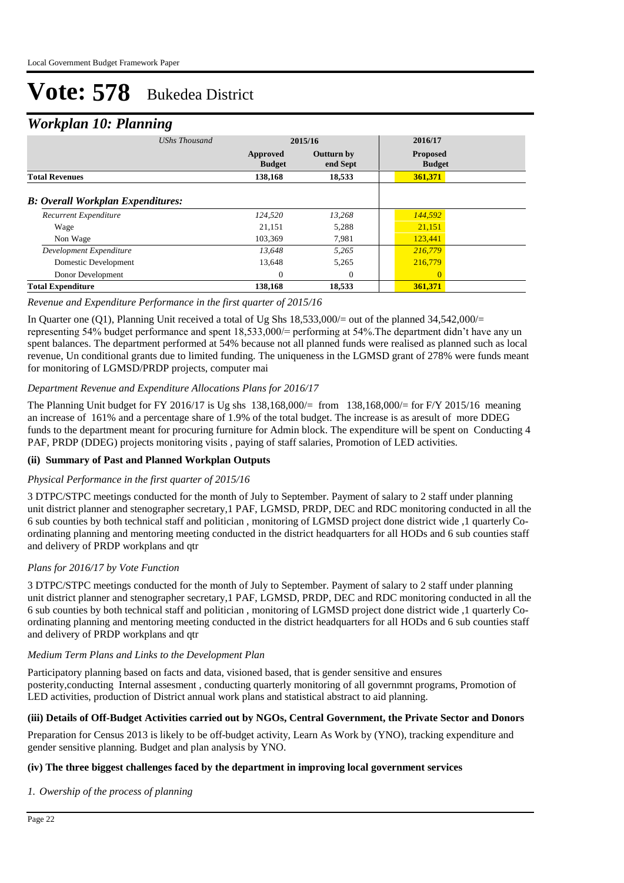### *Workplan 10: Planning*

| ┻                                        | o<br><b>UShs Thousand</b> | 2015/16                   |                               | 2016/17                          |  |
|------------------------------------------|---------------------------|---------------------------|-------------------------------|----------------------------------|--|
|                                          |                           | Approved<br><b>Budget</b> | <b>Outturn by</b><br>end Sept | <b>Proposed</b><br><b>Budget</b> |  |
| <b>Total Revenues</b>                    |                           | 138,168                   | 18,533                        | 361,371                          |  |
| <b>B: Overall Workplan Expenditures:</b> |                           |                           |                               |                                  |  |
| Recurrent Expenditure                    |                           | 124,520                   | 13.268                        | 144,592                          |  |
| Wage                                     |                           | 21,151                    | 5,288                         | 21,151                           |  |
| Non Wage                                 |                           | 103,369                   | 7,981                         | 123,441                          |  |
| Development Expenditure                  |                           | 13.648                    | 5,265                         | 216,779                          |  |
| Domestic Development                     |                           | 13,648                    | 5,265                         | 216,779                          |  |
| Donor Development                        |                           | 0                         | $\theta$                      | $\Omega$                         |  |
| <b>Total Expenditure</b>                 |                           | 138,168                   | 18,533                        | 361,371                          |  |

#### *Revenue and Expenditure Performance in the first quarter of 2015/16*

In Quarter one (Q1), Planning Unit received a total of Ug Shs 18,533,000/= out of the planned 34,542,000/= representing 54% budget performance and spent 18,533,000/= performing at 54%.The department didn't have any un spent balances. The department performed at 54% because not all planned funds were realised as planned such as local revenue, Un conditional grants due to limited funding. The uniqueness in the LGMSD grant of 278% were funds meant for monitoring of LGMSD/PRDP projects, computer mai

#### *Department Revenue and Expenditure Allocations Plans for 2016/17*

The Planning Unit budget for FY 2016/17 is Ug shs  $138,168,000/=$  from  $138,168,000/=$  for F/Y 2015/16 meaning an increase of 161% and a percentage share of 1.9% of the total budget. The increase is as aresult of more DDEG funds to the department meant for procuring furniture for Admin block. The expenditure will be spent on Conducting 4 PAF, PRDP (DDEG) projects monitoring visits , paying of staff salaries, Promotion of LED activities.

#### **(ii) Summary of Past and Planned Workplan Outputs**

#### *Physical Performance in the first quarter of 2015/16*

3 DTPC/STPC meetings conducted for the month of July to September. Payment of salary to 2 staff under planning unit district planner and stenographer secretary,1 PAF, LGMSD, PRDP, DEC and RDC monitoring conducted in all the 6 sub counties by both technical staff and politician , monitoring of LGMSD project done district wide ,1 quarterly Coordinating planning and mentoring meeting conducted in the district headquarters for all HODs and 6 sub counties staff and delivery of PRDP workplans and qtr

#### *Plans for 2016/17 by Vote Function*

3 DTPC/STPC meetings conducted for the month of July to September. Payment of salary to 2 staff under planning unit district planner and stenographer secretary,1 PAF, LGMSD, PRDP, DEC and RDC monitoring conducted in all the 6 sub counties by both technical staff and politician , monitoring of LGMSD project done district wide ,1 quarterly Coordinating planning and mentoring meeting conducted in the district headquarters for all HODs and 6 sub counties staff and delivery of PRDP workplans and qtr

#### *Medium Term Plans and Links to the Development Plan*

Participatory planning based on facts and data, visioned based, that is gender sensitive and ensures posterity,conducting Internal assesment , conducting quarterly monitoring of all governmnt programs, Promotion of LED activities, production of District annual work plans and statistical abstract to aid planning.

#### **(iii) Details of Off-Budget Activities carried out by NGOs, Central Government, the Private Sector and Donors**

Preparation for Census 2013 is likely to be off-budget activity, Learn As Work by (YNO), tracking expenditure and gender sensitive planning. Budget and plan analysis by YNO.

#### **(iv) The three biggest challenges faced by the department in improving local government services**

*Owership of the process of planning 1.*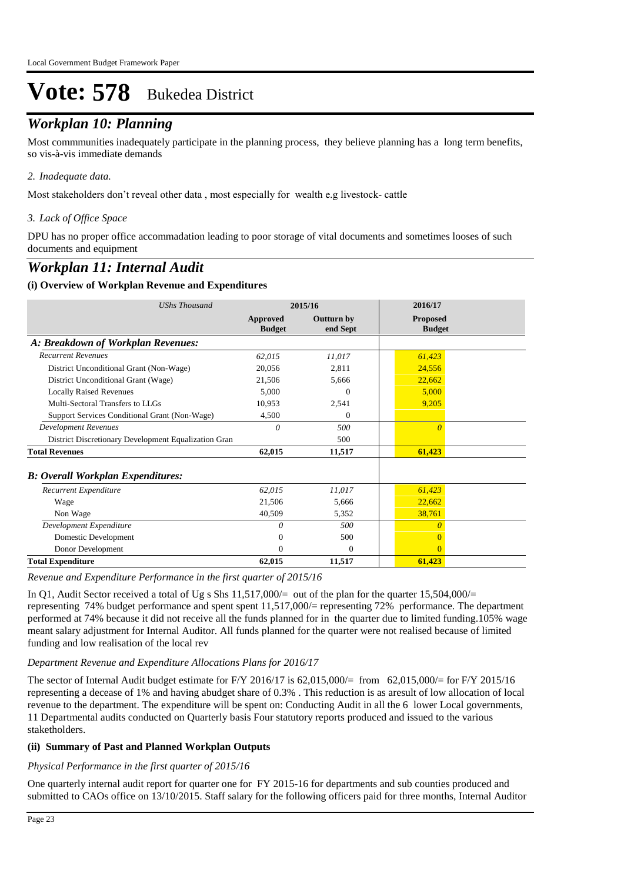## *Workplan 10: Planning*

Most commmunities inadequately participate in the planning process, they believe planning has a long term benefits, so vis-à-vis immediate demands

#### *Inadequate data. 2.*

Most stakeholders don't reveal other data , most especially for wealth e.g livestock- cattle

#### *Lack of Office Space 3.*

DPU has no proper office accommadation leading to poor storage of vital documents and sometimes looses of such documents and equipment

### *Workplan 11: Internal Audit*

#### **(i) Overview of Workplan Revenue and Expenditures**

| <b>UShs Thousand</b>                                 | 2015/16                   |                        | 2016/17                          |
|------------------------------------------------------|---------------------------|------------------------|----------------------------------|
|                                                      | Approved<br><b>Budget</b> | Outturn by<br>end Sept | <b>Proposed</b><br><b>Budget</b> |
| A: Breakdown of Workplan Revenues:                   |                           |                        |                                  |
| <b>Recurrent Revenues</b>                            | 62,015                    | 11,017                 | 61,423                           |
| District Unconditional Grant (Non-Wage)              | 20,056                    | 2,811                  | 24,556                           |
| District Unconditional Grant (Wage)                  | 21,506                    | 5,666                  | 22,662                           |
| <b>Locally Raised Revenues</b>                       | 5.000                     | 0                      | 5,000                            |
| Multi-Sectoral Transfers to LLGs                     | 10,953                    | 2,541                  | 9,205                            |
| Support Services Conditional Grant (Non-Wage)        | 4,500                     | 0                      |                                  |
| <b>Development Revenues</b>                          | 0                         | 500                    | $\theta$                         |
| District Discretionary Development Equalization Gran |                           | 500                    |                                  |
| <b>Total Revenues</b>                                | 62,015                    | 11,517                 | 61,423                           |
| <b>B</b> : Overall Workplan Expenditures:            |                           |                        |                                  |
| Recurrent Expenditure                                | 62,015                    | 11,017                 | 61,423                           |
| Wage                                                 | 21,506                    | 5,666                  | 22,662                           |
| Non Wage                                             | 40,509                    | 5,352                  | 38,761                           |
| Development Expenditure                              | $\theta$                  | 500                    | $\theta$                         |
| Domestic Development                                 | 0                         | 500                    |                                  |
| Donor Development                                    | 0                         | $\Omega$               | $\Omega$                         |
| <b>Total Expenditure</b>                             | 62,015                    | 11,517                 | 61,423                           |

*Revenue and Expenditure Performance in the first quarter of 2015/16*

In Q1, Audit Sector received a total of Ug s Shs  $11,517,000/=$  out of the plan for the quarter 15,504,000/= representing 74% budget performance and spent spent 11,517,000/= representing 72% performance. The department performed at 74% because it did not receive all the funds planned for in the quarter due to limited funding.105% wage meant salary adjustment for Internal Auditor. All funds planned for the quarter were not realised because of limited funding and low realisation of the local rev

#### *Department Revenue and Expenditure Allocations Plans for 2016/17*

The sector of Internal Audit budget estimate for F/Y 2016/17 is 62,015,000/= from 62,015,000/= for F/Y 2015/16 representing a decease of 1% and having abudget share of 0.3% . This reduction is as aresult of low allocation of local revenue to the department. The expenditure will be spent on: Conducting Audit in all the 6 lower Local governments, 11 Departmental audits conducted on Quarterly basis Four statutory reports produced and issued to the various staketholders.

#### **(ii) Summary of Past and Planned Workplan Outputs**

#### *Physical Performance in the first quarter of 2015/16*

One quarterly internal audit report for quarter one for FY 2015-16 for departments and sub counties produced and submitted to CAOs office on 13/10/2015. Staff salary for the following officers paid for three months, Internal Auditor